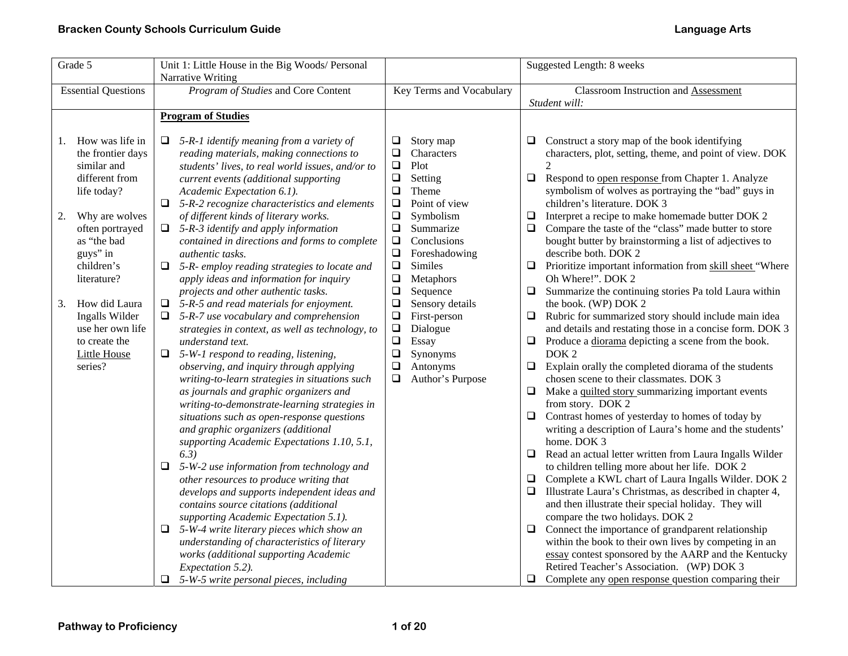| Grade 5 |                            |        | Unit 1: Little House in the Big Woods/ Personal                            |                  |                          |        | Suggested Length: 8 weeks                                                                               |
|---------|----------------------------|--------|----------------------------------------------------------------------------|------------------|--------------------------|--------|---------------------------------------------------------------------------------------------------------|
|         |                            |        | Narrative Writing                                                          |                  |                          |        |                                                                                                         |
|         | <b>Essential Questions</b> |        | Program of Studies and Core Content                                        |                  | Key Terms and Vocabulary |        | Classroom Instruction and Assessment                                                                    |
|         |                            |        |                                                                            |                  |                          |        | Student will:                                                                                           |
|         |                            |        | <b>Program of Studies</b>                                                  |                  |                          |        |                                                                                                         |
|         |                            |        |                                                                            |                  |                          |        |                                                                                                         |
| 1.      | How was life in            | □      | 5-R-1 identify meaning from a variety of                                   | $\Box$           | Story map                | ⊔      | Construct a story map of the book identifying                                                           |
|         | the frontier days          |        | reading materials, making connections to                                   | $\Box$           | Characters               |        | characters, plot, setting, theme, and point of view. DOK                                                |
|         | similar and                |        | students' lives, to real world issues, and/or to                           | $\Box$           | Plot                     |        |                                                                                                         |
|         | different from             |        | current events (additional supporting                                      | $\Box$<br>$\Box$ | Setting<br>Theme         | $\Box$ | Respond to open response from Chapter 1. Analyze<br>symbolism of wolves as portraying the "bad" guys in |
|         | life today?                |        | Academic Expectation 6.1).<br>5-R-2 recognize characteristics and elements | $\Box$           | Point of view            |        | children's literature. DOK 3                                                                            |
|         | Why are wolves             |        | of different kinds of literary works.                                      | $\Box$           | Symbolism                | $\Box$ | Interpret a recipe to make homemade butter DOK 2                                                        |
| 2.      | often portrayed            |        | $\Box$ 5-R-3 identify and apply information                                | $\Box$           | Summarize                | $\Box$ | Compare the taste of the "class" made butter to store                                                   |
|         | as "the bad                |        | contained in directions and forms to complete                              | $\Box$           | Conclusions              |        | bought butter by brainstorming a list of adjectives to                                                  |
|         | guys" in                   |        | <i>authentic tasks.</i>                                                    | $\Box$           | Foreshadowing            |        | describe both. DOK 2                                                                                    |
|         | children's                 | □      | 5-R- employ reading strategies to locate and                               | $\Box$           | <b>Similes</b>           | $\Box$ | Prioritize important information from skill sheet "Where                                                |
|         | literature?                |        | apply ideas and information for inquiry                                    | $\Box$           | Metaphors                |        | Oh Where!". DOK 2                                                                                       |
|         |                            |        | projects and other authentic tasks.                                        | $\Box$           | Sequence                 | $\Box$ | Summarize the continuing stories Pa told Laura within                                                   |
| 3.      | How did Laura              | □      | 5-R-5 and read materials for enjoyment.                                    | $\Box$           | Sensory details          |        | the book. (WP) DOK 2                                                                                    |
|         | Ingalls Wilder             |        | 5-R-7 use vocabulary and comprehension                                     | $\Box$           | First-person             | $\Box$ | Rubric for summarized story should include main idea                                                    |
|         | use her own life           |        | strategies in context, as well as technology, to                           | $\Box$           | Dialogue                 |        | and details and restating those in a concise form. DOK 3                                                |
|         | to create the              |        | understand text.                                                           | $\Box$           | Essay                    | □      | Produce a diorama depicting a scene from the book.                                                      |
|         | <b>Little House</b>        | $\Box$ | 5-W-1 respond to reading, listening,                                       | $\Box$           | Synonyms                 |        | DOK <sub>2</sub>                                                                                        |
|         | series?                    |        | observing, and inquiry through applying                                    | $\Box$           | Antonyms                 | $\Box$ | Explain orally the completed diorama of the students                                                    |
|         |                            |        | writing-to-learn strategies in situations such                             | $\Box$           | Author's Purpose         |        | chosen scene to their classmates. DOK 3                                                                 |
|         |                            |        | as journals and graphic organizers and                                     |                  |                          | ❏      | Make a quilted story summarizing important events                                                       |
|         |                            |        | writing-to-demonstrate-learning strategies in                              |                  |                          |        | from story. DOK 2                                                                                       |
|         |                            |        | situations such as open-response questions                                 |                  |                          | $\Box$ | Contrast homes of yesterday to homes of today by                                                        |
|         |                            |        | and graphic organizers (additional                                         |                  |                          |        | writing a description of Laura's home and the students'                                                 |
|         |                            |        | supporting Academic Expectations 1.10, 5.1,                                |                  |                          |        | home. DOK 3                                                                                             |
|         |                            |        | 6.3)                                                                       |                  |                          | ⊔      | Read an actual letter written from Laura Ingalls Wilder                                                 |
|         |                            | $\Box$ | 5-W-2 use information from technology and                                  |                  |                          |        | to children telling more about her life. DOK 2                                                          |
|         |                            |        | other resources to produce writing that                                    |                  |                          | $\Box$ | Complete a KWL chart of Laura Ingalls Wilder. DOK 2                                                     |
|         |                            |        | develops and supports independent ideas and                                |                  |                          | $\Box$ | Illustrate Laura's Christmas, as described in chapter 4,                                                |
|         |                            |        | contains source citations (additional                                      |                  |                          |        | and then illustrate their special holiday. They will                                                    |
|         |                            |        | supporting Academic Expectation 5.1).                                      |                  |                          |        | compare the two holidays. DOK 2                                                                         |
|         |                            | ❏      | 5-W-4 write literary pieces which show an                                  |                  |                          | $\Box$ | Connect the importance of grandparent relationship                                                      |
|         |                            |        | understanding of characteristics of literary                               |                  |                          |        | within the book to their own lives by competing in an                                                   |
|         |                            |        | works (additional supporting Academic                                      |                  |                          |        | essay contest sponsored by the AARP and the Kentucky                                                    |
|         |                            |        | Expectation 5.2).                                                          |                  |                          |        | Retired Teacher's Association. (WP) DOK 3                                                               |
|         |                            | $\Box$ | 5-W-5 write personal pieces, including                                     |                  |                          | ❏      | Complete any open response question comparing their                                                     |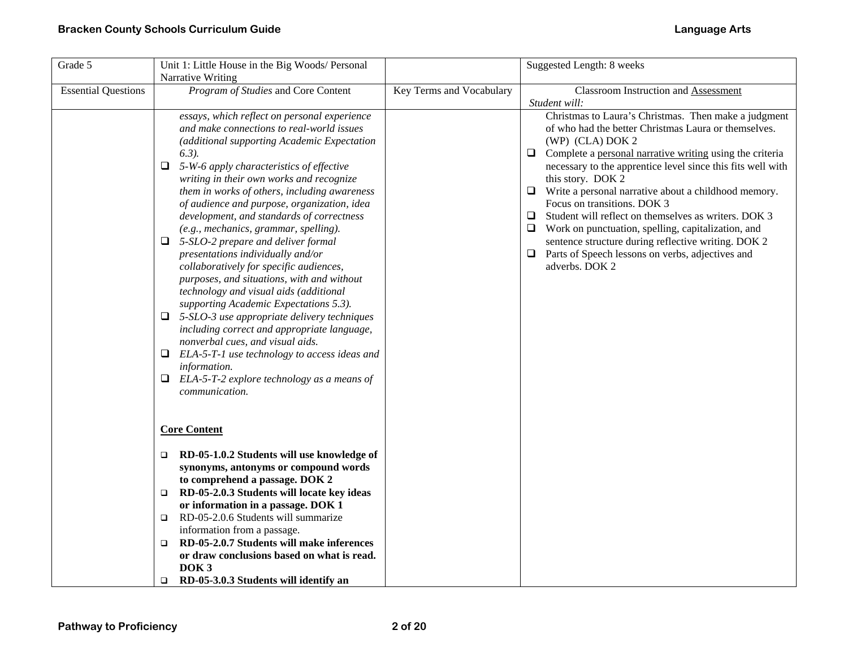| Grade 5                    | Unit 1: Little House in the Big Woods/ Personal<br>Narrative Writing                                                                                                                                                                                                                                                                                                                                                                                                                                                                                                                                                                                                                                                                                                                                                                                                                                                                                                                                   |                          | Suggested Length: 8 weeks                                                                                                                                                                                                                                                                                                                                                                                                                                                                                                                                                                                                                                 |
|----------------------------|--------------------------------------------------------------------------------------------------------------------------------------------------------------------------------------------------------------------------------------------------------------------------------------------------------------------------------------------------------------------------------------------------------------------------------------------------------------------------------------------------------------------------------------------------------------------------------------------------------------------------------------------------------------------------------------------------------------------------------------------------------------------------------------------------------------------------------------------------------------------------------------------------------------------------------------------------------------------------------------------------------|--------------------------|-----------------------------------------------------------------------------------------------------------------------------------------------------------------------------------------------------------------------------------------------------------------------------------------------------------------------------------------------------------------------------------------------------------------------------------------------------------------------------------------------------------------------------------------------------------------------------------------------------------------------------------------------------------|
| <b>Essential Questions</b> | Program of Studies and Core Content                                                                                                                                                                                                                                                                                                                                                                                                                                                                                                                                                                                                                                                                                                                                                                                                                                                                                                                                                                    | Key Terms and Vocabulary | <b>Classroom Instruction and Assessment</b><br>Student will:                                                                                                                                                                                                                                                                                                                                                                                                                                                                                                                                                                                              |
|                            | essays, which reflect on personal experience<br>and make connections to real-world issues<br>(additional supporting Academic Expectation<br>$(6.3)$ .<br>$\Box$ 5-W-6 apply characteristics of effective<br>writing in their own works and recognize<br>them in works of others, including awareness<br>of audience and purpose, organization, idea<br>development, and standards of correctness<br>(e.g., mechanics, grammar, spelling).<br>$\Box$ 5-SLO-2 prepare and deliver formal<br>presentations individually and/or<br>collaboratively for specific audiences,<br>purposes, and situations, with and without<br>technology and visual aids (additional<br>supporting Academic Expectations 5.3).<br>$\Box$ 5-SLO-3 use appropriate delivery techniques<br>including correct and appropriate language,<br>nonverbal cues, and visual aids.<br>$\Box$ ELA-5-T-1 use technology to access ideas and<br>information.<br>$\Box$ ELA-5-T-2 explore technology as a means of<br><i>communication.</i> |                          | Christmas to Laura's Christmas. Then make a judgment<br>of who had the better Christmas Laura or themselves.<br>(WP) (CLA) DOK 2<br>Complete a personal narrative writing using the criteria<br>□<br>necessary to the apprentice level since this fits well with<br>this story. DOK 2<br>$\Box$ Write a personal narrative about a childhood memory.<br>Focus on transitions. DOK 3<br>Student will reflect on themselves as writers. DOK 3<br>$\Box$<br>$\Box$ Work on punctuation, spelling, capitalization, and<br>sentence structure during reflective writing. DOK 2<br>$\Box$<br>Parts of Speech lessons on verbs, adjectives and<br>adverbs. DOK 2 |
|                            | <b>Core Content</b>                                                                                                                                                                                                                                                                                                                                                                                                                                                                                                                                                                                                                                                                                                                                                                                                                                                                                                                                                                                    |                          |                                                                                                                                                                                                                                                                                                                                                                                                                                                                                                                                                                                                                                                           |
|                            | RD-05-1.0.2 Students will use knowledge of<br>$\Box$<br>synonyms, antonyms or compound words<br>to comprehend a passage. DOK 2                                                                                                                                                                                                                                                                                                                                                                                                                                                                                                                                                                                                                                                                                                                                                                                                                                                                         |                          |                                                                                                                                                                                                                                                                                                                                                                                                                                                                                                                                                                                                                                                           |
|                            | RD-05-2.0.3 Students will locate key ideas<br>$\Box$<br>or information in a passage. DOK 1<br>RD-05-2.0.6 Students will summarize<br>$\Box$                                                                                                                                                                                                                                                                                                                                                                                                                                                                                                                                                                                                                                                                                                                                                                                                                                                            |                          |                                                                                                                                                                                                                                                                                                                                                                                                                                                                                                                                                                                                                                                           |
|                            | information from a passage.<br>RD-05-2.0.7 Students will make inferences<br>▫<br>or draw conclusions based on what is read.<br>DOK <sub>3</sub>                                                                                                                                                                                                                                                                                                                                                                                                                                                                                                                                                                                                                                                                                                                                                                                                                                                        |                          |                                                                                                                                                                                                                                                                                                                                                                                                                                                                                                                                                                                                                                                           |
|                            | RD-05-3.0.3 Students will identify an<br>$\Box$                                                                                                                                                                                                                                                                                                                                                                                                                                                                                                                                                                                                                                                                                                                                                                                                                                                                                                                                                        |                          |                                                                                                                                                                                                                                                                                                                                                                                                                                                                                                                                                                                                                                                           |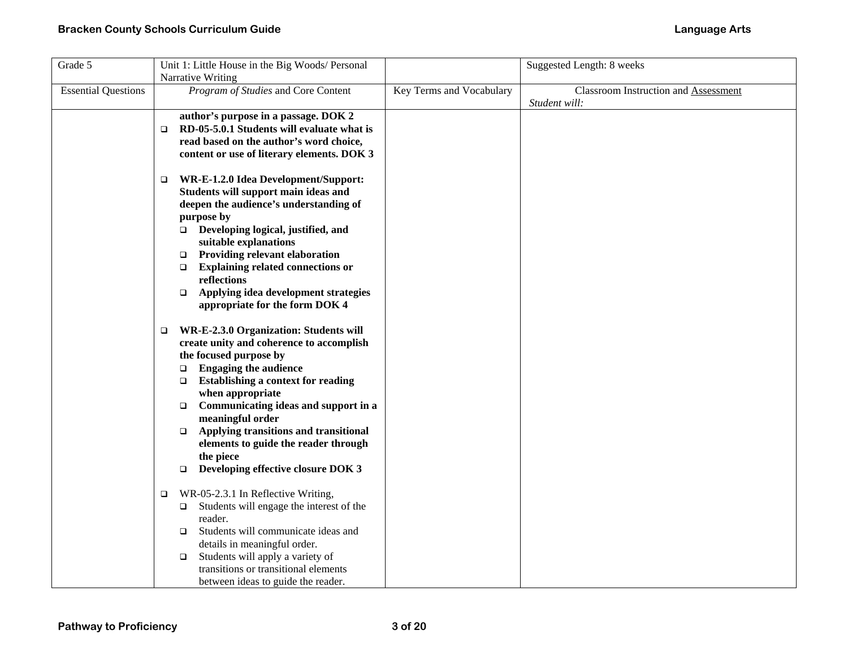| Grade 5                    | Unit 1: Little House in the Big Woods/ Personal<br>Narrative Writing                                                                                                                                                                                                                                                                                                                                                                                                 |                          | Suggested Length: 8 weeks                                    |
|----------------------------|----------------------------------------------------------------------------------------------------------------------------------------------------------------------------------------------------------------------------------------------------------------------------------------------------------------------------------------------------------------------------------------------------------------------------------------------------------------------|--------------------------|--------------------------------------------------------------|
| <b>Essential Questions</b> | Program of Studies and Core Content                                                                                                                                                                                                                                                                                                                                                                                                                                  | Key Terms and Vocabulary | <b>Classroom Instruction and Assessment</b><br>Student will: |
|                            | author's purpose in a passage. DOK 2<br>RD-05-5.0.1 Students will evaluate what is<br>$\Box$<br>read based on the author's word choice,<br>content or use of literary elements. DOK 3                                                                                                                                                                                                                                                                                |                          |                                                              |
|                            | WR-E-1.2.0 Idea Development/Support:<br>$\Box$<br>Students will support main ideas and<br>deepen the audience's understanding of<br>purpose by<br>Developing logical, justified, and<br>suitable explanations<br><b>Providing relevant elaboration</b><br>$\Box$<br><b>Explaining related connections or</b><br>$\Box$<br>reflections<br>Applying idea development strategies<br>$\Box$<br>appropriate for the form DOK 4                                            |                          |                                                              |
|                            | WR-E-2.3.0 Organization: Students will<br>▫<br>create unity and coherence to accomplish<br>the focused purpose by<br><b>Engaging the audience</b><br>$\Box$<br><b>Establishing a context for reading</b><br>$\Box$<br>when appropriate<br>Communicating ideas and support in a<br>$\Box$<br>meaningful order<br>Applying transitions and transitional<br>$\Box$<br>elements to guide the reader through<br>the piece<br>Developing effective closure DOK 3<br>$\Box$ |                          |                                                              |
|                            | WR-05-2.3.1 In Reflective Writing,<br>$\Box$<br>Students will engage the interest of the<br>$\Box$<br>reader.<br>Students will communicate ideas and<br>$\Box$<br>details in meaningful order.<br>Students will apply a variety of<br>$\Box$<br>transitions or transitional elements<br>between ideas to guide the reader.                                                                                                                                           |                          |                                                              |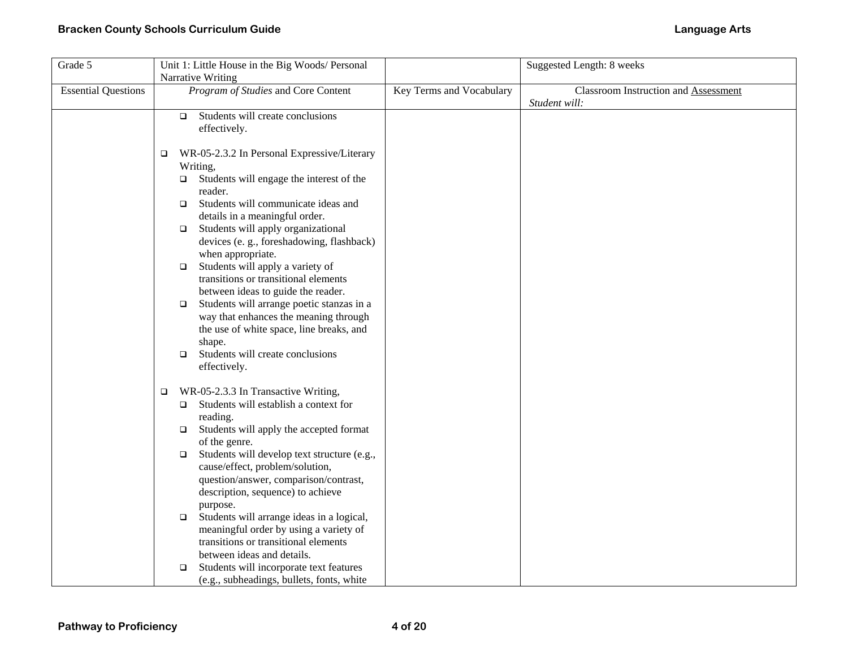| Grade 5                    | Unit 1: Little House in the Big Woods/ Personal       |                          | Suggested Length: 8 weeks                   |
|----------------------------|-------------------------------------------------------|--------------------------|---------------------------------------------|
|                            | Narrative Writing                                     |                          |                                             |
| <b>Essential Questions</b> | Program of Studies and Core Content                   | Key Terms and Vocabulary | <b>Classroom Instruction and Assessment</b> |
|                            |                                                       |                          | Student will:                               |
|                            | Students will create conclusions<br>$\Box$            |                          |                                             |
|                            | effectively.                                          |                          |                                             |
|                            |                                                       |                          |                                             |
|                            | WR-05-2.3.2 In Personal Expressive/Literary<br>$\Box$ |                          |                                             |
|                            | Writing,                                              |                          |                                             |
|                            | Students will engage the interest of the<br>$\Box$    |                          |                                             |
|                            | reader.                                               |                          |                                             |
|                            | Students will communicate ideas and<br>$\Box$         |                          |                                             |
|                            | details in a meaningful order.                        |                          |                                             |
|                            | Students will apply organizational<br>$\Box$          |                          |                                             |
|                            | devices (e. g., foreshadowing, flashback)             |                          |                                             |
|                            | when appropriate.                                     |                          |                                             |
|                            | Students will apply a variety of<br>$\Box$            |                          |                                             |
|                            | transitions or transitional elements                  |                          |                                             |
|                            | between ideas to guide the reader.                    |                          |                                             |
|                            | Students will arrange poetic stanzas in a<br>$\Box$   |                          |                                             |
|                            | way that enhances the meaning through                 |                          |                                             |
|                            | the use of white space, line breaks, and              |                          |                                             |
|                            | shape.                                                |                          |                                             |
|                            | Students will create conclusions<br>$\Box$            |                          |                                             |
|                            | effectively.                                          |                          |                                             |
|                            | WR-05-2.3.3 In Transactive Writing,<br>$\Box$         |                          |                                             |
|                            | Students will establish a context for<br>$\Box$       |                          |                                             |
|                            | reading.                                              |                          |                                             |
|                            | Students will apply the accepted format<br>$\Box$     |                          |                                             |
|                            | of the genre.                                         |                          |                                             |
|                            | Students will develop text structure (e.g.,<br>$\Box$ |                          |                                             |
|                            | cause/effect, problem/solution,                       |                          |                                             |
|                            | question/answer, comparison/contrast,                 |                          |                                             |
|                            | description, sequence) to achieve                     |                          |                                             |
|                            | purpose.                                              |                          |                                             |
|                            | Students will arrange ideas in a logical,<br>$\Box$   |                          |                                             |
|                            | meaningful order by using a variety of                |                          |                                             |
|                            | transitions or transitional elements                  |                          |                                             |
|                            | between ideas and details.                            |                          |                                             |
|                            | Students will incorporate text features<br>$\Box$     |                          |                                             |
|                            | (e.g., subheadings, bullets, fonts, white             |                          |                                             |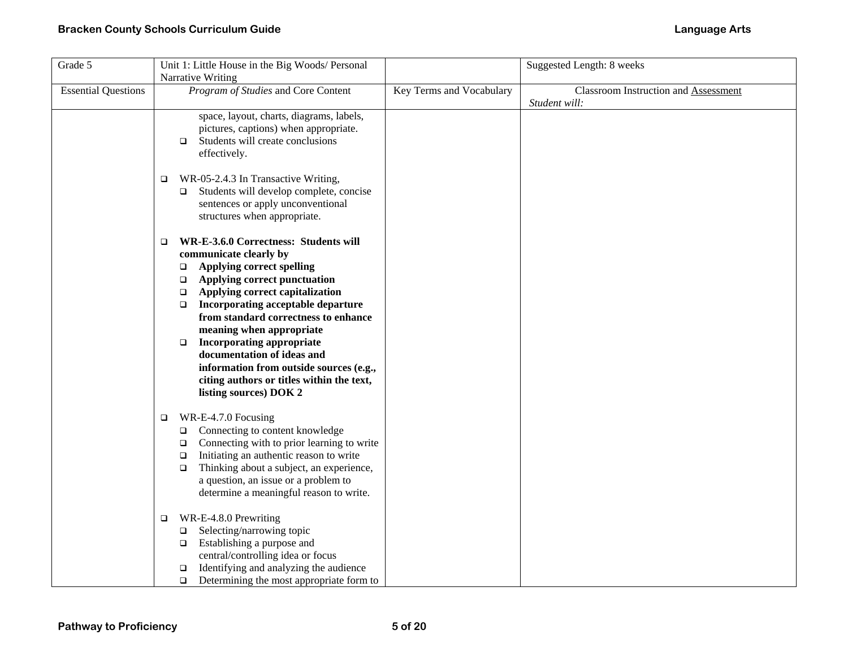| Grade 5                    | Unit 1: Little House in the Big Woods/ Personal<br>Narrative Writing                                                                                                                                                                                                                                                                                                                                                                                                                                                             |                          | Suggested Length: 8 weeks                             |
|----------------------------|----------------------------------------------------------------------------------------------------------------------------------------------------------------------------------------------------------------------------------------------------------------------------------------------------------------------------------------------------------------------------------------------------------------------------------------------------------------------------------------------------------------------------------|--------------------------|-------------------------------------------------------|
| <b>Essential Questions</b> | Program of Studies and Core Content                                                                                                                                                                                                                                                                                                                                                                                                                                                                                              | Key Terms and Vocabulary | Classroom Instruction and Assessment<br>Student will: |
|                            | space, layout, charts, diagrams, labels,<br>pictures, captions) when appropriate.<br>Students will create conclusions<br>$\Box$<br>effectively.                                                                                                                                                                                                                                                                                                                                                                                  |                          |                                                       |
|                            | WR-05-2.4.3 In Transactive Writing,<br>$\Box$<br>Students will develop complete, concise<br>$\Box$<br>sentences or apply unconventional<br>structures when appropriate.                                                                                                                                                                                                                                                                                                                                                          |                          |                                                       |
|                            | WR-E-3.6.0 Correctness: Students will<br>$\Box$<br>communicate clearly by<br><b>Applying correct spelling</b><br>$\Box$<br>Applying correct punctuation<br>$\Box$<br>Applying correct capitalization<br>$\Box$<br>Incorporating acceptable departure<br>$\Box$<br>from standard correctness to enhance<br>meaning when appropriate<br><b>Incorporating appropriate</b><br>$\Box$<br>documentation of ideas and<br>information from outside sources (e.g.,<br>citing authors or titles within the text,<br>listing sources) DOK 2 |                          |                                                       |
|                            | WR-E-4.7.0 Focusing<br>$\Box$<br>Connecting to content knowledge<br>$\Box$<br>Connecting with to prior learning to write<br>□<br>Initiating an authentic reason to write<br>$\Box$<br>Thinking about a subject, an experience,<br>$\Box$<br>a question, an issue or a problem to<br>determine a meaningful reason to write.                                                                                                                                                                                                      |                          |                                                       |
|                            | WR-E-4.8.0 Prewriting<br>$\Box$<br>Selecting/narrowing topic<br>$\Box$<br>Establishing a purpose and<br>$\Box$<br>central/controlling idea or focus<br>Identifying and analyzing the audience<br>$\Box$<br>Determining the most appropriate form to<br>$\Box$                                                                                                                                                                                                                                                                    |                          |                                                       |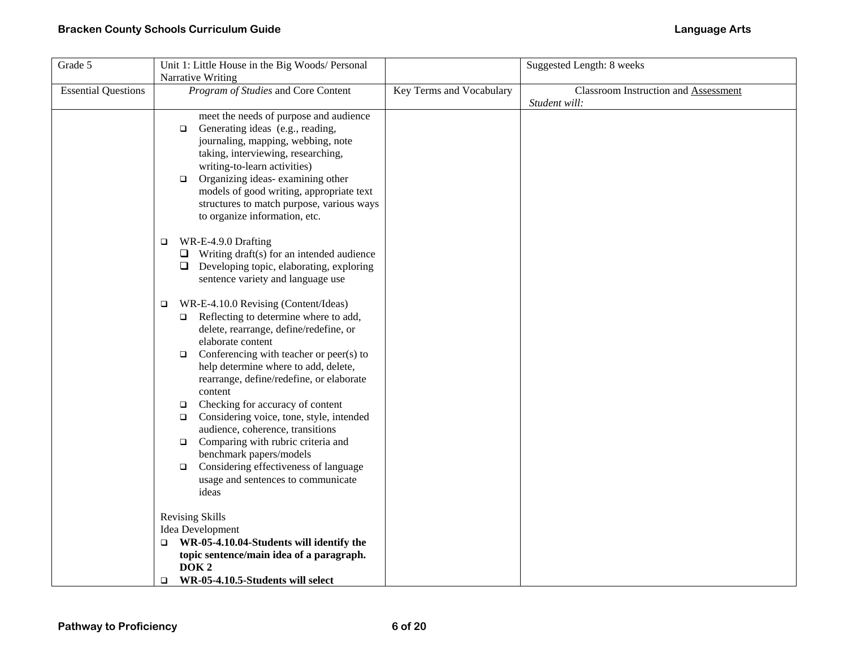| Grade 5                    | Unit 1: Little House in the Big Woods/ Personal<br>Narrative Writing                                                                                                                                                                                                                                                                                                                                                                                                                                                                                                                                                                 |                          | Suggested Length: 8 weeks                             |
|----------------------------|--------------------------------------------------------------------------------------------------------------------------------------------------------------------------------------------------------------------------------------------------------------------------------------------------------------------------------------------------------------------------------------------------------------------------------------------------------------------------------------------------------------------------------------------------------------------------------------------------------------------------------------|--------------------------|-------------------------------------------------------|
| <b>Essential Questions</b> | Program of Studies and Core Content                                                                                                                                                                                                                                                                                                                                                                                                                                                                                                                                                                                                  | Key Terms and Vocabulary | Classroom Instruction and Assessment<br>Student will: |
|                            | meet the needs of purpose and audience<br>Generating ideas (e.g., reading,<br>$\Box$<br>journaling, mapping, webbing, note<br>taking, interviewing, researching,<br>writing-to-learn activities)<br>Organizing ideas-examining other<br>$\Box$<br>models of good writing, appropriate text<br>structures to match purpose, various ways<br>to organize information, etc.<br>WR-E-4.9.0 Drafting<br>$\Box$<br>$\Box$ Writing draft(s) for an intended audience<br>$\Box$ Developing topic, elaborating, exploring<br>sentence variety and language use                                                                                |                          |                                                       |
|                            | WR-E-4.10.0 Revising (Content/Ideas)<br>□<br>Reflecting to determine where to add,<br>$\Box$<br>delete, rearrange, define/redefine, or<br>elaborate content<br>Conferencing with teacher or peer(s) to<br>$\Box$<br>help determine where to add, delete,<br>rearrange, define/redefine, or elaborate<br>content<br>Checking for accuracy of content<br>$\Box$<br>Considering voice, tone, style, intended<br>$\Box$<br>audience, coherence, transitions<br>Comparing with rubric criteria and<br>$\Box$<br>benchmark papers/models<br>Considering effectiveness of language<br>$\Box$<br>usage and sentences to communicate<br>ideas |                          |                                                       |
|                            | <b>Revising Skills</b><br>Idea Development                                                                                                                                                                                                                                                                                                                                                                                                                                                                                                                                                                                           |                          |                                                       |
|                            | WR-05-4.10.04-Students will identify the<br>topic sentence/main idea of a paragraph.<br>DOK <sub>2</sub><br>WR-05-4.10.5-Students will select<br>$\Box$                                                                                                                                                                                                                                                                                                                                                                                                                                                                              |                          |                                                       |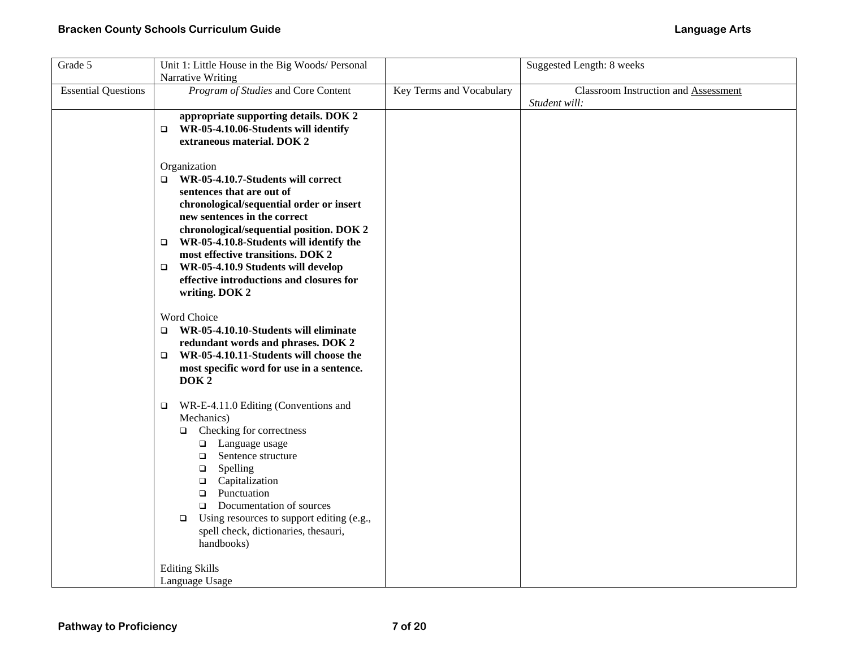| Grade 5                    | Unit 1: Little House in the Big Woods/ Personal<br><b>Narrative Writing</b>                                                                                                                                                                                                                                                                                                                                       |                          | Suggested Length: 8 weeks                                    |
|----------------------------|-------------------------------------------------------------------------------------------------------------------------------------------------------------------------------------------------------------------------------------------------------------------------------------------------------------------------------------------------------------------------------------------------------------------|--------------------------|--------------------------------------------------------------|
| <b>Essential Questions</b> | Program of Studies and Core Content                                                                                                                                                                                                                                                                                                                                                                               | Key Terms and Vocabulary | <b>Classroom Instruction and Assessment</b><br>Student will: |
|                            | appropriate supporting details. DOK 2<br>$\Box$ WR-05-4.10.06-Students will identify<br>extraneous material. DOK 2                                                                                                                                                                                                                                                                                                |                          |                                                              |
|                            | Organization<br>$\Box$ WR-05-4.10.7-Students will correct<br>sentences that are out of<br>chronological/sequential order or insert<br>new sentences in the correct<br>chronological/sequential position. DOK 2<br>WR-05-4.10.8-Students will identify the<br>$\Box$<br>most effective transitions. DOK 2<br>WR-05-4.10.9 Students will develop<br>□<br>effective introductions and closures for<br>writing. DOK 2 |                          |                                                              |
|                            | Word Choice<br>WR-05-4.10.10-Students will eliminate<br>$\Box$<br>redundant words and phrases. DOK 2<br>WR-05-4.10.11-Students will choose the<br>$\Box$<br>most specific word for use in a sentence.<br>DOK <sub>2</sub>                                                                                                                                                                                         |                          |                                                              |
|                            | WR-E-4.11.0 Editing (Conventions and<br>$\Box$<br>Mechanics)<br>Checking for correctness<br>$\Box$<br>□ Language usage<br>Sentence structure<br>$\Box$<br>Spelling<br>$\Box$<br>Capitalization<br>$\Box$<br>Punctuation<br>$\Box$<br>Documentation of sources<br>$\Box$<br>Using resources to support editing (e.g.,<br>$\Box$<br>spell check, dictionaries, thesauri,<br>handbooks)                              |                          |                                                              |
|                            | <b>Editing Skills</b><br>Language Usage                                                                                                                                                                                                                                                                                                                                                                           |                          |                                                              |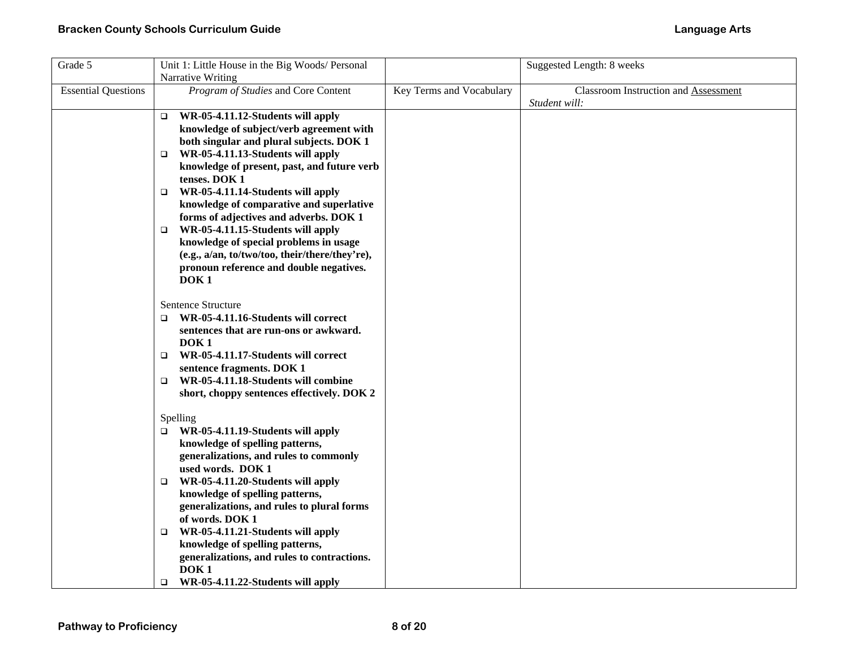| Grade 5                    | Unit 1: Little House in the Big Woods/ Personal<br>Narrative Writing                                                                                                                                                                                                                                                                                                                                                                                                                                                                                                                         |                          | Suggested Length: 8 weeks                                    |
|----------------------------|----------------------------------------------------------------------------------------------------------------------------------------------------------------------------------------------------------------------------------------------------------------------------------------------------------------------------------------------------------------------------------------------------------------------------------------------------------------------------------------------------------------------------------------------------------------------------------------------|--------------------------|--------------------------------------------------------------|
| <b>Essential Questions</b> | Program of Studies and Core Content                                                                                                                                                                                                                                                                                                                                                                                                                                                                                                                                                          | Key Terms and Vocabulary | <b>Classroom Instruction and Assessment</b><br>Student will: |
|                            | WR-05-4.11.12-Students will apply<br>$\Box$<br>knowledge of subject/verb agreement with<br>both singular and plural subjects. DOK 1<br>WR-05-4.11.13-Students will apply<br>□<br>knowledge of present, past, and future verb<br>tenses. DOK 1<br>WR-05-4.11.14-Students will apply<br>$\Box$<br>knowledge of comparative and superlative<br>forms of adjectives and adverbs. DOK 1<br>WR-05-4.11.15-Students will apply<br>$\Box$<br>knowledge of special problems in usage<br>(e.g., a/an, to/two/too, their/there/they're),<br>pronoun reference and double negatives.<br>DOK <sub>1</sub> |                          |                                                              |
|                            | Sentence Structure<br>WR-05-4.11.16-Students will correct<br>▫<br>sentences that are run-ons or awkward.<br>DOK <sub>1</sub><br>WR-05-4.11.17-Students will correct<br>▫<br>sentence fragments. DOK 1<br>WR-05-4.11.18-Students will combine<br>$\Box$<br>short, choppy sentences effectively. DOK 2                                                                                                                                                                                                                                                                                         |                          |                                                              |
|                            | Spelling<br>WR-05-4.11.19-Students will apply<br>❏<br>knowledge of spelling patterns,<br>generalizations, and rules to commonly<br>used words. DOK 1<br>WR-05-4.11.20-Students will apply<br>$\Box$<br>knowledge of spelling patterns,<br>generalizations, and rules to plural forms<br>of words. DOK 1<br>WR-05-4.11.21-Students will apply<br>□<br>knowledge of spelling patterns,<br>generalizations, and rules to contractions.<br>DOK <sub>1</sub><br>WR-05-4.11.22-Students will apply<br>O.                                                                                           |                          |                                                              |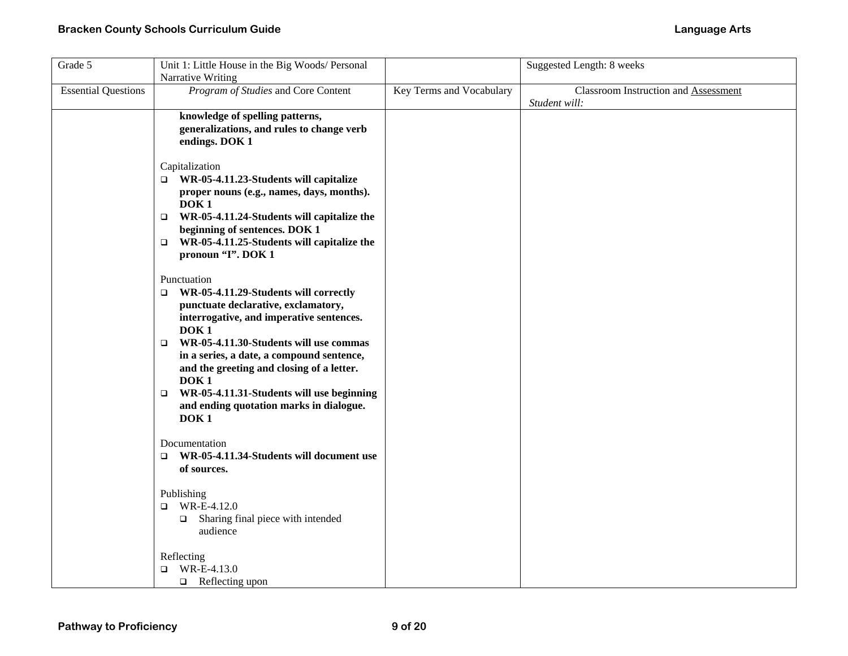| Grade 5                    | Unit 1: Little House in the Big Woods/ Personal<br>Narrative Writing                                                                                                                                                                                                                                                                                                                                                                                          |                          | Suggested Length: 8 weeks                                    |
|----------------------------|---------------------------------------------------------------------------------------------------------------------------------------------------------------------------------------------------------------------------------------------------------------------------------------------------------------------------------------------------------------------------------------------------------------------------------------------------------------|--------------------------|--------------------------------------------------------------|
| <b>Essential Questions</b> | Program of Studies and Core Content                                                                                                                                                                                                                                                                                                                                                                                                                           | Key Terms and Vocabulary | <b>Classroom Instruction and Assessment</b><br>Student will: |
|                            | knowledge of spelling patterns,<br>generalizations, and rules to change verb<br>endings. DOK 1                                                                                                                                                                                                                                                                                                                                                                |                          |                                                              |
|                            | Capitalization<br>$\Box$ WR-05-4.11.23-Students will capitalize<br>proper nouns (e.g., names, days, months).<br>DOK <sub>1</sub><br>WR-05-4.11.24-Students will capitalize the<br>$\Box$<br>beginning of sentences. DOK 1<br>WR-05-4.11.25-Students will capitalize the<br>$\Box$<br>pronoun "I". DOK 1                                                                                                                                                       |                          |                                                              |
|                            | Punctuation<br>WR-05-4.11.29-Students will correctly<br>$\Box$<br>punctuate declarative, exclamatory,<br>interrogative, and imperative sentences.<br>DOK <sub>1</sub><br>WR-05-4.11.30-Students will use commas<br>$\Box$<br>in a series, a date, a compound sentence,<br>and the greeting and closing of a letter.<br>DOK <sub>1</sub><br>WR-05-4.11.31-Students will use beginning<br>$\Box$<br>and ending quotation marks in dialogue.<br>DOK <sub>1</sub> |                          |                                                              |
|                            | Documentation<br>WR-05-4.11.34-Students will document use<br>$\Box$<br>of sources.                                                                                                                                                                                                                                                                                                                                                                            |                          |                                                              |
|                            | Publishing<br>WR-E-4.12.0<br>□<br>Sharing final piece with intended<br>$\Box$<br>audience                                                                                                                                                                                                                                                                                                                                                                     |                          |                                                              |
|                            | Reflecting<br>WR-E-4.13.0<br>$\Box$<br>$\Box$ Reflecting upon                                                                                                                                                                                                                                                                                                                                                                                                 |                          |                                                              |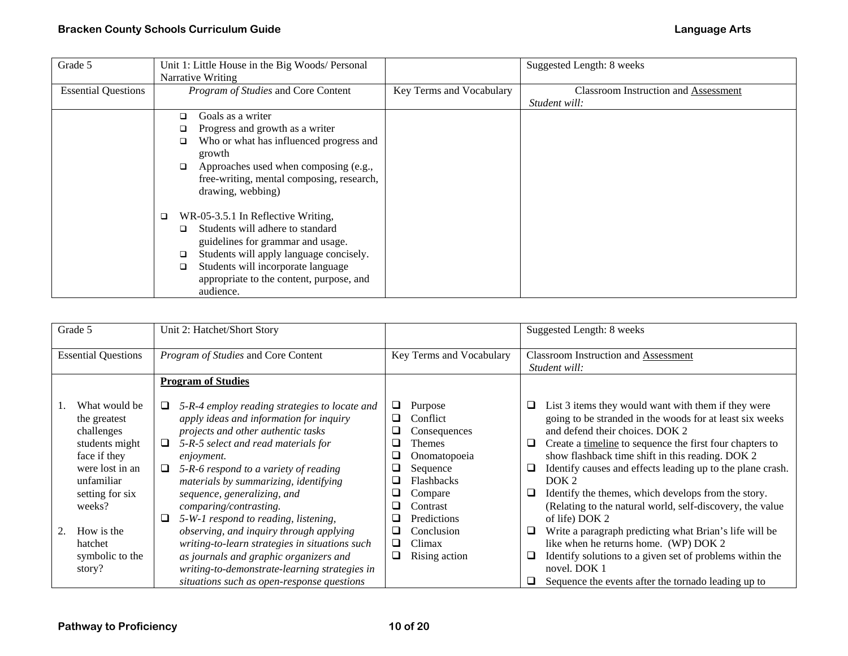| Grade 5                    | Unit 1: Little House in the Big Woods/ Personal |                          | Suggested Length: 8 weeks                   |
|----------------------------|-------------------------------------------------|--------------------------|---------------------------------------------|
|                            | Narrative Writing                               |                          |                                             |
| <b>Essential Questions</b> | Program of Studies and Core Content             | Key Terms and Vocabulary | <b>Classroom Instruction and Assessment</b> |
|                            |                                                 |                          | Student will:                               |
|                            | Goals as a writer<br>◻                          |                          |                                             |
|                            | Progress and growth as a writer<br>❏            |                          |                                             |
|                            | Who or what has influenced progress and<br>◻    |                          |                                             |
|                            | growth                                          |                          |                                             |
|                            | Approaches used when composing (e.g.,<br>□      |                          |                                             |
|                            | free-writing, mental composing, research,       |                          |                                             |
|                            | drawing, webbing)                               |                          |                                             |
|                            | WR-05-3.5.1 In Reflective Writing,<br>□         |                          |                                             |
|                            | Students will adhere to standard<br>□           |                          |                                             |
|                            | guidelines for grammar and usage.               |                          |                                             |
|                            | Students will apply language concisely.<br>◻    |                          |                                             |
|                            |                                                 |                          |                                             |
|                            | Students will incorporate language<br>◻         |                          |                                             |
|                            | appropriate to the content, purpose, and        |                          |                                             |
|                            | audience.                                       |                          |                                             |

| Grade 5                                                                                                                                                                                           | Unit 2: Hatchet/Short Story                                                                                                                                                                                                                                                                                                                                                                                                                                                                                                                                                                                                        |                                                                                                                                                                                                                                                             | Suggested Length: 8 weeks                                                                                                                                                                                                                                                                                                                                                                                                                                                                                                                                                                                                                                                                                                                                           |
|---------------------------------------------------------------------------------------------------------------------------------------------------------------------------------------------------|------------------------------------------------------------------------------------------------------------------------------------------------------------------------------------------------------------------------------------------------------------------------------------------------------------------------------------------------------------------------------------------------------------------------------------------------------------------------------------------------------------------------------------------------------------------------------------------------------------------------------------|-------------------------------------------------------------------------------------------------------------------------------------------------------------------------------------------------------------------------------------------------------------|---------------------------------------------------------------------------------------------------------------------------------------------------------------------------------------------------------------------------------------------------------------------------------------------------------------------------------------------------------------------------------------------------------------------------------------------------------------------------------------------------------------------------------------------------------------------------------------------------------------------------------------------------------------------------------------------------------------------------------------------------------------------|
| <b>Essential Questions</b>                                                                                                                                                                        | Program of Studies and Core Content                                                                                                                                                                                                                                                                                                                                                                                                                                                                                                                                                                                                | Key Terms and Vocabulary                                                                                                                                                                                                                                    | Classroom Instruction and Assessment<br>Student will:                                                                                                                                                                                                                                                                                                                                                                                                                                                                                                                                                                                                                                                                                                               |
|                                                                                                                                                                                                   | <b>Program of Studies</b>                                                                                                                                                                                                                                                                                                                                                                                                                                                                                                                                                                                                          |                                                                                                                                                                                                                                                             |                                                                                                                                                                                                                                                                                                                                                                                                                                                                                                                                                                                                                                                                                                                                                                     |
| What would be<br>the greatest<br>challenges<br>students might<br>face if they<br>were lost in an<br>unfamiliar<br>setting for six<br>weeks?<br>How is the<br>hatchet<br>symbolic to the<br>story? | 5-R-4 employ reading strategies to locate and<br>⊔<br>apply ideas and information for inquiry<br>projects and other authentic tasks<br>5-R-5 select and read materials for<br>□<br><i>enjoyment.</i><br>5-R-6 respond to a variety of reading<br>⊔<br>materials by summarizing, identifying<br>sequence, generalizing, and<br>comparing/contrasting.<br>5-W-1 respond to reading, listening,<br>observing, and inquiry through applying<br>writing-to-learn strategies in situations such<br>as journals and graphic organizers and<br>writing-to-demonstrate-learning strategies in<br>situations such as open-response questions | Purpose<br>⊔<br>Conflict<br>⊔<br>Consequences<br>ப<br>Themes<br>□<br>Onomatopoeia<br>⊔<br>Sequence<br>$\overline{\phantom{0}}$<br><b>Flashbacks</b><br>⊔<br>Compare<br>Contrast<br>⊔<br>Predictions<br>Conclusion<br>⊔<br>Climax<br>⊔<br>Rising action<br>⊔ | List 3 items they would want with them if they were<br>⊔<br>going to be stranded in the woods for at least six weeks<br>and defend their choices. DOK 2<br>Create a timeline to sequence the first four chapters to<br>❏<br>show flashback time shift in this reading. DOK 2<br>Identify causes and effects leading up to the plane crash.<br>❏<br>DOK <sub>2</sub><br>Identify the themes, which develops from the story.<br>⊔<br>(Relating to the natural world, self-discovery, the value<br>of life) DOK 2<br>Write a paragraph predicting what Brian's life will be<br>⊔<br>like when he returns home. (WP) DOK 2<br>Identify solutions to a given set of problems within the<br>❏<br>novel. DOK 1<br>Sequence the events after the tornado leading up to<br>⊔ |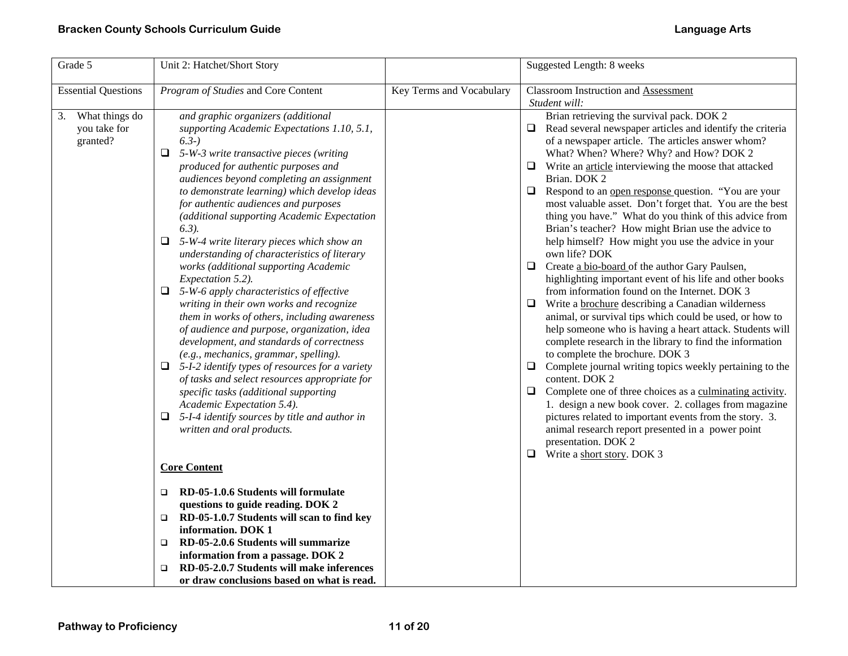| Grade 5                                          | Unit 2: Hatchet/Short Story                                                                                                                                                                                                                                                                                                                                                                                                                                                                                                                                                                                                                                                                                                                                                                                                                                                                                                                                                                                                                                                                                                                                                              |                          | Suggested Length: 8 weeks                                                                                                                                                                                                                                                                                                                                                                                                                                                                                                                                                                                                                                                                                                                                                                                                                                                                                                                                                                                                                                                                                                                                                                                                                                                                                                                                                                                                                          |
|--------------------------------------------------|------------------------------------------------------------------------------------------------------------------------------------------------------------------------------------------------------------------------------------------------------------------------------------------------------------------------------------------------------------------------------------------------------------------------------------------------------------------------------------------------------------------------------------------------------------------------------------------------------------------------------------------------------------------------------------------------------------------------------------------------------------------------------------------------------------------------------------------------------------------------------------------------------------------------------------------------------------------------------------------------------------------------------------------------------------------------------------------------------------------------------------------------------------------------------------------|--------------------------|----------------------------------------------------------------------------------------------------------------------------------------------------------------------------------------------------------------------------------------------------------------------------------------------------------------------------------------------------------------------------------------------------------------------------------------------------------------------------------------------------------------------------------------------------------------------------------------------------------------------------------------------------------------------------------------------------------------------------------------------------------------------------------------------------------------------------------------------------------------------------------------------------------------------------------------------------------------------------------------------------------------------------------------------------------------------------------------------------------------------------------------------------------------------------------------------------------------------------------------------------------------------------------------------------------------------------------------------------------------------------------------------------------------------------------------------------|
| <b>Essential Questions</b>                       | Program of Studies and Core Content                                                                                                                                                                                                                                                                                                                                                                                                                                                                                                                                                                                                                                                                                                                                                                                                                                                                                                                                                                                                                                                                                                                                                      | Key Terms and Vocabulary | <b>Classroom Instruction and Assessment</b><br>Student will:                                                                                                                                                                                                                                                                                                                                                                                                                                                                                                                                                                                                                                                                                                                                                                                                                                                                                                                                                                                                                                                                                                                                                                                                                                                                                                                                                                                       |
| What things do<br>3.<br>you take for<br>granted? | and graphic organizers (additional<br>supporting Academic Expectations 1.10, 5.1,<br>$(6.3-)$<br>□<br>5-W-3 write transactive pieces (writing<br>produced for authentic purposes and<br>audiences beyond completing an assignment<br>to demonstrate learning) which develop ideas<br>for authentic audiences and purposes<br>(additional supporting Academic Expectation<br>$6.3$ ).<br>$\Box$ 5-W-4 write literary pieces which show an<br>understanding of characteristics of literary<br>works (additional supporting Academic<br>Expectation 5.2).<br>$\Box$ 5-W-6 apply characteristics of effective<br>writing in their own works and recognize<br>them in works of others, including awareness<br>of audience and purpose, organization, idea<br>development, and standards of correctness<br>(e.g., mechanics, grammar, spelling).<br>$\Box$ 5-I-2 identify types of resources for a variety<br>of tasks and select resources appropriate for<br>specific tasks (additional supporting<br>Academic Expectation 5.4).<br>5-I-4 identify sources by title and author in<br>❏<br>written and oral products.<br><b>Core Content</b><br>RD-05-1.0.6 Students will formulate<br>$\Box$ |                          | Brian retrieving the survival pack. DOK 2<br>Read several newspaper articles and identify the criteria<br>⊔<br>of a newspaper article. The articles answer whom?<br>What? When? Where? Why? and How? DOK 2<br>Write an article interviewing the moose that attacked<br>⊔<br>Brian. DOK 2<br>Respond to an open response question. "You are your<br>❏<br>most valuable asset. Don't forget that. You are the best<br>thing you have." What do you think of this advice from<br>Brian's teacher? How might Brian use the advice to<br>help himself? How might you use the advice in your<br>own life? DOK<br>Create a bio-board of the author Gary Paulsen,<br>□<br>highlighting important event of his life and other books<br>from information found on the Internet. DOK 3<br>Write a brochure describing a Canadian wilderness<br>⊔<br>animal, or survival tips which could be used, or how to<br>help someone who is having a heart attack. Students will<br>complete research in the library to find the information<br>to complete the brochure. DOK 3<br>Complete journal writing topics weekly pertaining to the<br>❏<br>content. DOK 2<br>Complete one of three choices as a culminating activity.<br>⊔<br>1. design a new book cover. 2. collages from magazine<br>pictures related to important events from the story. 3.<br>animal research report presented in a power point<br>presentation. DOK 2<br>Write a short story. DOK 3<br>⊔ |
|                                                  | questions to guide reading. DOK 2<br>RD-05-1.0.7 Students will scan to find key<br>$\Box$                                                                                                                                                                                                                                                                                                                                                                                                                                                                                                                                                                                                                                                                                                                                                                                                                                                                                                                                                                                                                                                                                                |                          |                                                                                                                                                                                                                                                                                                                                                                                                                                                                                                                                                                                                                                                                                                                                                                                                                                                                                                                                                                                                                                                                                                                                                                                                                                                                                                                                                                                                                                                    |
|                                                  | information. DOK 1<br>RD-05-2.0.6 Students will summarize<br>□<br>information from a passage. DOK 2<br>RD-05-2.0.7 Students will make inferences<br>□<br>or draw conclusions based on what is read.                                                                                                                                                                                                                                                                                                                                                                                                                                                                                                                                                                                                                                                                                                                                                                                                                                                                                                                                                                                      |                          |                                                                                                                                                                                                                                                                                                                                                                                                                                                                                                                                                                                                                                                                                                                                                                                                                                                                                                                                                                                                                                                                                                                                                                                                                                                                                                                                                                                                                                                    |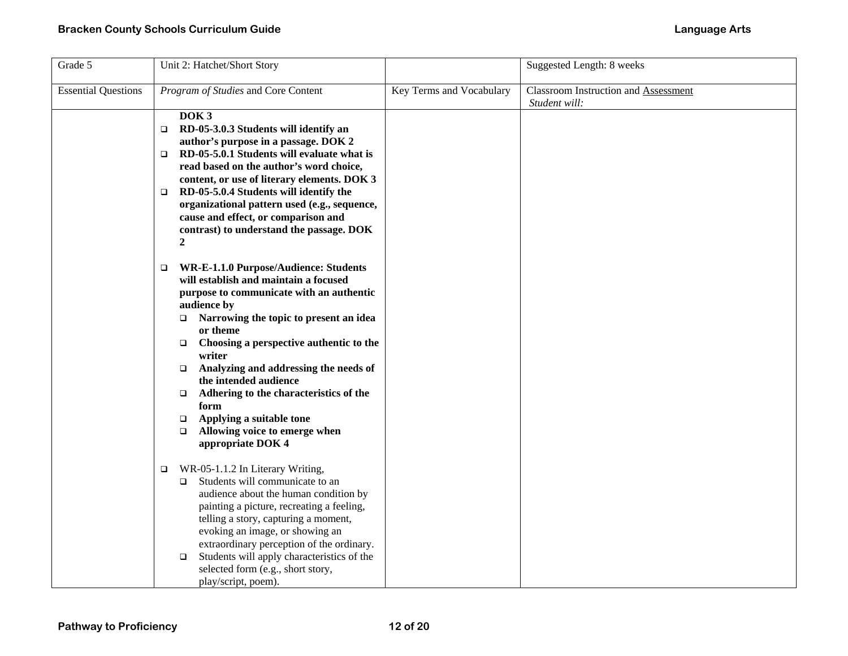| Grade 5                    | Unit 2: Hatchet/Short Story                                                                                                                                                                                                                                                                                                                                                                                                                                                                                       |                          | Suggested Length: 8 weeks                                    |
|----------------------------|-------------------------------------------------------------------------------------------------------------------------------------------------------------------------------------------------------------------------------------------------------------------------------------------------------------------------------------------------------------------------------------------------------------------------------------------------------------------------------------------------------------------|--------------------------|--------------------------------------------------------------|
| <b>Essential Questions</b> | Program of Studies and Core Content                                                                                                                                                                                                                                                                                                                                                                                                                                                                               | Key Terms and Vocabulary | <b>Classroom Instruction and Assessment</b><br>Student will: |
|                            | DOK <sub>3</sub><br>RD-05-3.0.3 Students will identify an<br>$\Box$<br>author's purpose in a passage. DOK 2<br>RD-05-5.0.1 Students will evaluate what is<br>$\Box$<br>read based on the author's word choice,<br>content, or use of literary elements. DOK 3<br>RD-05-5.0.4 Students will identify the<br>$\Box$<br>organizational pattern used (e.g., sequence,<br>cause and effect, or comparison and<br>contrast) to understand the passage. DOK<br>$\overline{2}$                                            |                          |                                                              |
|                            | WR-E-1.1.0 Purpose/Audience: Students<br>❏<br>will establish and maintain a focused<br>purpose to communicate with an authentic<br>audience by<br>Narrowing the topic to present an idea<br>$\Box$<br>or theme<br>Choosing a perspective authentic to the<br>$\Box$<br>writer<br>Analyzing and addressing the needs of<br>$\Box$<br>the intended audience<br>Adhering to the characteristics of the<br>$\Box$<br>form<br>Applying a suitable tone<br>$\Box$<br>Allowing voice to emerge when<br>appropriate DOK 4 |                          |                                                              |
|                            | WR-05-1.1.2 In Literary Writing,<br>□<br>Students will communicate to an<br>□<br>audience about the human condition by<br>painting a picture, recreating a feeling,<br>telling a story, capturing a moment,<br>evoking an image, or showing an<br>extraordinary perception of the ordinary.<br>Students will apply characteristics of the<br>$\Box$<br>selected form (e.g., short story,<br>play/script, poem).                                                                                                   |                          |                                                              |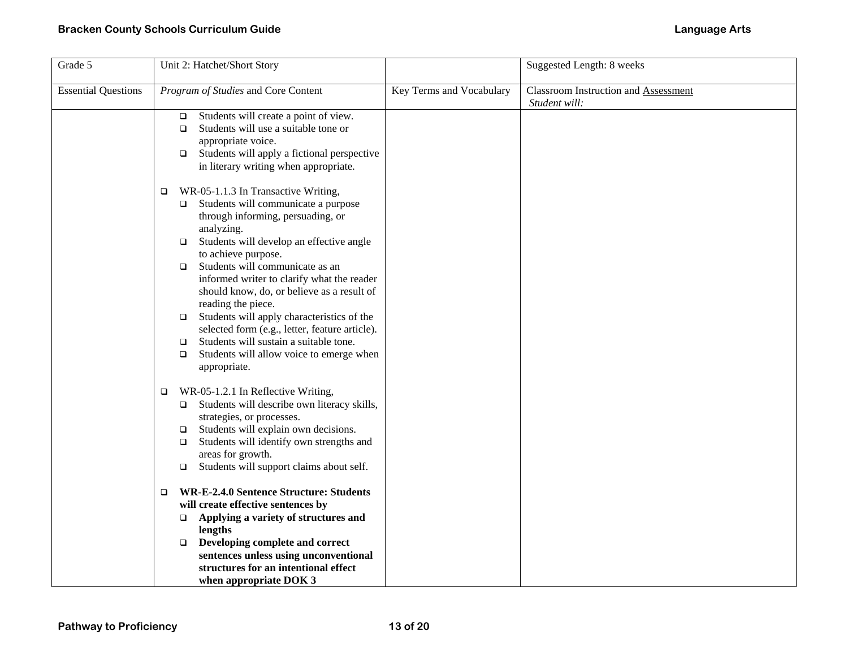## **Bracken County Schools Curriculum Guide Language Arts**

| Grade 5                    | Unit 2: Hatchet/Short Story                                                                                                                                                                                                                                                                                                                                                                                                                                                                                                                                                                                                  |                          | Suggested Length: 8 weeks                                    |
|----------------------------|------------------------------------------------------------------------------------------------------------------------------------------------------------------------------------------------------------------------------------------------------------------------------------------------------------------------------------------------------------------------------------------------------------------------------------------------------------------------------------------------------------------------------------------------------------------------------------------------------------------------------|--------------------------|--------------------------------------------------------------|
| <b>Essential Questions</b> | Program of Studies and Core Content                                                                                                                                                                                                                                                                                                                                                                                                                                                                                                                                                                                          | Key Terms and Vocabulary | <b>Classroom Instruction and Assessment</b><br>Student will: |
|                            | Students will create a point of view.<br>$\Box$<br>Students will use a suitable tone or<br>$\Box$<br>appropriate voice.<br>Students will apply a fictional perspective<br>$\Box$<br>in literary writing when appropriate.                                                                                                                                                                                                                                                                                                                                                                                                    |                          |                                                              |
|                            | WR-05-1.1.3 In Transactive Writing,<br>□<br>Students will communicate a purpose<br>$\Box$<br>through informing, persuading, or<br>analyzing.<br>Students will develop an effective angle<br>$\Box$<br>to achieve purpose.<br>Students will communicate as an<br>$\Box$<br>informed writer to clarify what the reader<br>should know, do, or believe as a result of<br>reading the piece.<br>Students will apply characteristics of the<br>$\Box$<br>selected form (e.g., letter, feature article).<br>Students will sustain a suitable tone.<br>$\Box$<br>Students will allow voice to emerge when<br>$\Box$<br>appropriate. |                          |                                                              |
|                            | WR-05-1.2.1 In Reflective Writing,<br>$\Box$<br>Students will describe own literacy skills,<br>$\Box$<br>strategies, or processes.<br>Students will explain own decisions.<br>$\Box$<br>Students will identify own strengths and<br>$\Box$<br>areas for growth.<br>Students will support claims about self.<br>$\Box$                                                                                                                                                                                                                                                                                                        |                          |                                                              |
|                            | <b>WR-E-2.4.0 Sentence Structure: Students</b><br>$\Box$<br>will create effective sentences by<br>Applying a variety of structures and<br>$\Box$<br>lengths<br>Developing complete and correct<br>$\Box$<br>sentences unless using unconventional<br>structures for an intentional effect<br>when appropriate DOK 3                                                                                                                                                                                                                                                                                                          |                          |                                                              |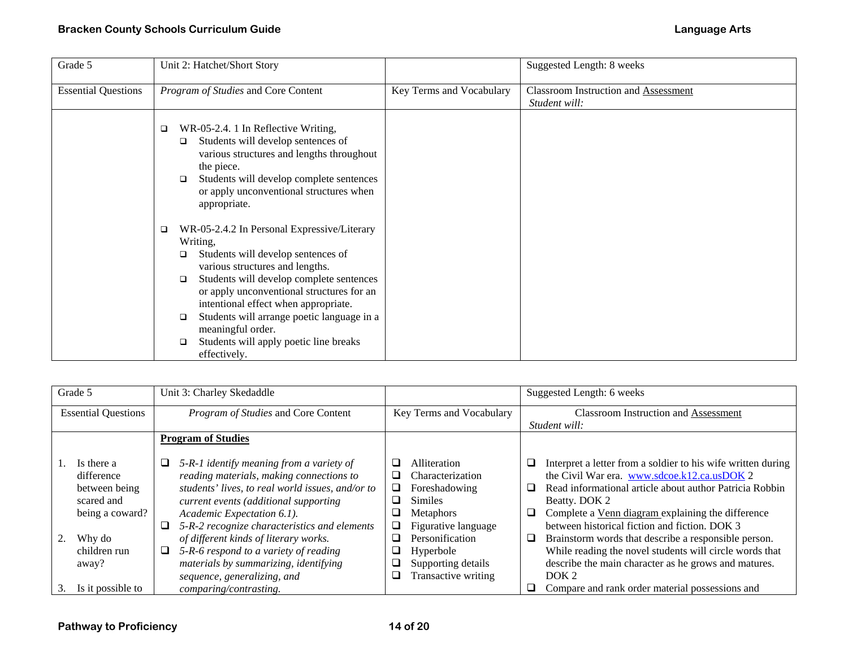| Grade 5                    | Unit 2: Hatchet/Short Story                                                                                                                                                                                                                                                                                                                                                                                                            |                          | Suggested Length: 8 weeks                                    |
|----------------------------|----------------------------------------------------------------------------------------------------------------------------------------------------------------------------------------------------------------------------------------------------------------------------------------------------------------------------------------------------------------------------------------------------------------------------------------|--------------------------|--------------------------------------------------------------|
| <b>Essential Questions</b> | Program of Studies and Core Content                                                                                                                                                                                                                                                                                                                                                                                                    | Key Terms and Vocabulary | <b>Classroom Instruction and Assessment</b><br>Student will: |
|                            | WR-05-2.4. 1 In Reflective Writing,<br>$\Box$<br>Students will develop sentences of<br>$\Box$<br>various structures and lengths throughout<br>the piece.<br>Students will develop complete sentences<br>□<br>or apply unconventional structures when<br>appropriate.                                                                                                                                                                   |                          |                                                              |
|                            | WR-05-2.4.2 In Personal Expressive/Literary<br>$\Box$<br>Writing,<br>Students will develop sentences of<br>□<br>various structures and lengths.<br>Students will develop complete sentences<br>$\Box$<br>or apply unconventional structures for an<br>intentional effect when appropriate.<br>Students will arrange poetic language in a<br>$\Box$<br>meaningful order.<br>Students will apply poetic line breaks<br>□<br>effectively. |                          |                                                              |

|                            | Grade 5                                                                                                       |                           | Unit 3: Charley Skedaddle                                                                                                                                                                                                                                                                                                                                                                  |                                                                       |                                                                                                                                                                      |                  | Suggested Length: 6 weeks                                                                                                                                                                                                                                                                                                                                                                                                                                                |  |
|----------------------------|---------------------------------------------------------------------------------------------------------------|---------------------------|--------------------------------------------------------------------------------------------------------------------------------------------------------------------------------------------------------------------------------------------------------------------------------------------------------------------------------------------------------------------------------------------|-----------------------------------------------------------------------|----------------------------------------------------------------------------------------------------------------------------------------------------------------------|------------------|--------------------------------------------------------------------------------------------------------------------------------------------------------------------------------------------------------------------------------------------------------------------------------------------------------------------------------------------------------------------------------------------------------------------------------------------------------------------------|--|
| <b>Essential Questions</b> |                                                                                                               |                           | Program of Studies and Core Content                                                                                                                                                                                                                                                                                                                                                        | Key Terms and Vocabulary                                              |                                                                                                                                                                      |                  | <b>Classroom Instruction and Assessment</b>                                                                                                                                                                                                                                                                                                                                                                                                                              |  |
|                            |                                                                                                               |                           |                                                                                                                                                                                                                                                                                                                                                                                            |                                                                       |                                                                                                                                                                      | Student will:    |                                                                                                                                                                                                                                                                                                                                                                                                                                                                          |  |
|                            |                                                                                                               | <b>Program of Studies</b> |                                                                                                                                                                                                                                                                                                                                                                                            |                                                                       |                                                                                                                                                                      |                  |                                                                                                                                                                                                                                                                                                                                                                                                                                                                          |  |
|                            | Is there a<br>difference<br>between being<br>scared and<br>being a coward?<br>Why do<br>children run<br>away? | ⊔                         | 5-R-1 identify meaning from a variety of<br>reading materials, making connections to<br>students' lives, to real world issues, and/or to<br>current events (additional supporting<br>Academic Expectation 6.1).<br>5-R-2 recognize characteristics and elements<br>of different kinds of literary works.<br>5-R-6 respond to a variety of reading<br>materials by summarizing, identifying | ப<br>ப<br>❏<br>$\Box$<br>$\overline{\phantom{a}}$<br>⊔<br>◻<br>⊔<br>⊔ | Alliteration<br>Characterization<br>Foreshadowing<br><b>Similes</b><br><b>Metaphors</b><br>Figurative language<br>Personification<br>Hyperbole<br>Supporting details | ⊔<br>ப<br>⊔<br>⊔ | Interpret a letter from a soldier to his wife written during<br>the Civil War era. www.sdcoe.k12.ca.usDOK 2<br>Read informational article about author Patricia Robbin<br>Beatty. DOK 2<br>Complete a Venn diagram explaining the difference<br>between historical fiction and fiction. DOK 3<br>Brainstorm words that describe a responsible person.<br>While reading the novel students will circle words that<br>describe the main character as he grows and matures. |  |
|                            |                                                                                                               |                           | sequence, generalizing, and                                                                                                                                                                                                                                                                                                                                                                | ⊔                                                                     | Transactive writing                                                                                                                                                  |                  | DOK <sub>2</sub>                                                                                                                                                                                                                                                                                                                                                                                                                                                         |  |
| 3.                         | Is it possible to                                                                                             |                           | comparing/contrasting.                                                                                                                                                                                                                                                                                                                                                                     |                                                                       |                                                                                                                                                                      |                  | Compare and rank order material possessions and                                                                                                                                                                                                                                                                                                                                                                                                                          |  |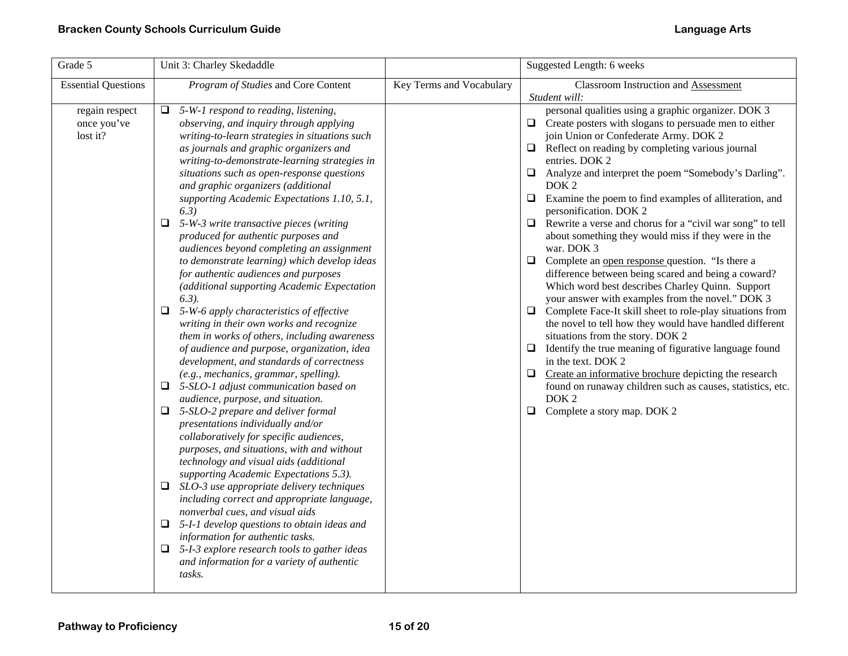| Grade 5                                   | Unit 3: Charley Skedaddle                                                                                                                                                                                                                                                                                                                                                                                                                                                                                                                                                                                                                                                                                                                                                                                                                                                                                                                                                                                                                                                                                                                                                                                                                                                                                                                                                                                                                                                                                                                                                                                                                         |                          | Suggested Length: 6 weeks                                                                                                                                                                                                                                                                                                                                                                                                                                                                                                                                                                                                                                                                                                                                                                                                                                                                                                                                                                                                                                                                                                                                                                                                                                      |
|-------------------------------------------|---------------------------------------------------------------------------------------------------------------------------------------------------------------------------------------------------------------------------------------------------------------------------------------------------------------------------------------------------------------------------------------------------------------------------------------------------------------------------------------------------------------------------------------------------------------------------------------------------------------------------------------------------------------------------------------------------------------------------------------------------------------------------------------------------------------------------------------------------------------------------------------------------------------------------------------------------------------------------------------------------------------------------------------------------------------------------------------------------------------------------------------------------------------------------------------------------------------------------------------------------------------------------------------------------------------------------------------------------------------------------------------------------------------------------------------------------------------------------------------------------------------------------------------------------------------------------------------------------------------------------------------------------|--------------------------|----------------------------------------------------------------------------------------------------------------------------------------------------------------------------------------------------------------------------------------------------------------------------------------------------------------------------------------------------------------------------------------------------------------------------------------------------------------------------------------------------------------------------------------------------------------------------------------------------------------------------------------------------------------------------------------------------------------------------------------------------------------------------------------------------------------------------------------------------------------------------------------------------------------------------------------------------------------------------------------------------------------------------------------------------------------------------------------------------------------------------------------------------------------------------------------------------------------------------------------------------------------|
| <b>Essential Questions</b>                | Program of Studies and Core Content                                                                                                                                                                                                                                                                                                                                                                                                                                                                                                                                                                                                                                                                                                                                                                                                                                                                                                                                                                                                                                                                                                                                                                                                                                                                                                                                                                                                                                                                                                                                                                                                               | Key Terms and Vocabulary | Classroom Instruction and Assessment<br>Student will:                                                                                                                                                                                                                                                                                                                                                                                                                                                                                                                                                                                                                                                                                                                                                                                                                                                                                                                                                                                                                                                                                                                                                                                                          |
| regain respect<br>once you've<br>lost it? | 5-W-1 respond to reading, listening,<br>⊔<br>observing, and inquiry through applying<br>writing-to-learn strategies in situations such<br>as journals and graphic organizers and<br>writing-to-demonstrate-learning strategies in<br>situations such as open-response questions<br>and graphic organizers (additional<br>supporting Academic Expectations 1.10, 5.1,<br>(6.3)<br>$\Box$ 5-W-3 write transactive pieces (writing<br>produced for authentic purposes and<br>audiences beyond completing an assignment<br>to demonstrate learning) which develop ideas<br>for authentic audiences and purposes<br>(additional supporting Academic Expectation<br>$(6.3)$ .<br>$\Box$ 5-W-6 apply characteristics of effective<br>writing in their own works and recognize<br>them in works of others, including awareness<br>of audience and purpose, organization, idea<br>development, and standards of correctness<br>(e.g., mechanics, grammar, spelling).<br>$\Box$ 5-SLO-1 adjust communication based on<br>audience, purpose, and situation.<br>$\Box$ 5-SLO-2 prepare and deliver formal<br>presentations individually and/or<br>collaboratively for specific audiences,<br>purposes, and situations, with and without<br>technology and visual aids (additional<br>supporting Academic Expectations 5.3).<br>$\Box$ SLO-3 use appropriate delivery techniques<br>including correct and appropriate language,<br>nonverbal cues, and visual aids<br>5-I-1 develop questions to obtain ideas and<br>⊔<br>information for authentic tasks.<br>5-I-3 explore research tools to gather ideas<br>Q.<br>and information for a variety of authentic |                          | personal qualities using a graphic organizer. DOK 3<br>$\Box$ Create posters with slogans to persuade men to either<br>join Union or Confederate Army. DOK 2<br>$\Box$ Reflect on reading by completing various journal<br>entries. DOK 2<br>Analyze and interpret the poem "Somebody's Darling".<br>$\Box$<br>DOK <sub>2</sub><br>$\Box$<br>Examine the poem to find examples of alliteration, and<br>personification. DOK 2<br>$\Box$<br>Rewrite a verse and chorus for a "civil war song" to tell<br>about something they would miss if they were in the<br>war. DOK 3<br>$\Box$ Complete an <u>open response</u> question. "Is there a<br>difference between being scared and being a coward?<br>Which word best describes Charley Quinn. Support<br>your answer with examples from the novel." DOK 3<br>$\Box$ Complete Face-It skill sheet to role-play situations from<br>the novel to tell how they would have handled different<br>situations from the story. DOK 2<br>$\Box$ Identify the true meaning of figurative language found<br>in the text. DOK 2<br>$\Box$ Create an informative brochure depicting the research<br>found on runaway children such as causes, statistics, etc.<br>DOK <sub>2</sub><br>Complete a story map. DOK 2<br>$\Box$ |
|                                           | tasks.                                                                                                                                                                                                                                                                                                                                                                                                                                                                                                                                                                                                                                                                                                                                                                                                                                                                                                                                                                                                                                                                                                                                                                                                                                                                                                                                                                                                                                                                                                                                                                                                                                            |                          |                                                                                                                                                                                                                                                                                                                                                                                                                                                                                                                                                                                                                                                                                                                                                                                                                                                                                                                                                                                                                                                                                                                                                                                                                                                                |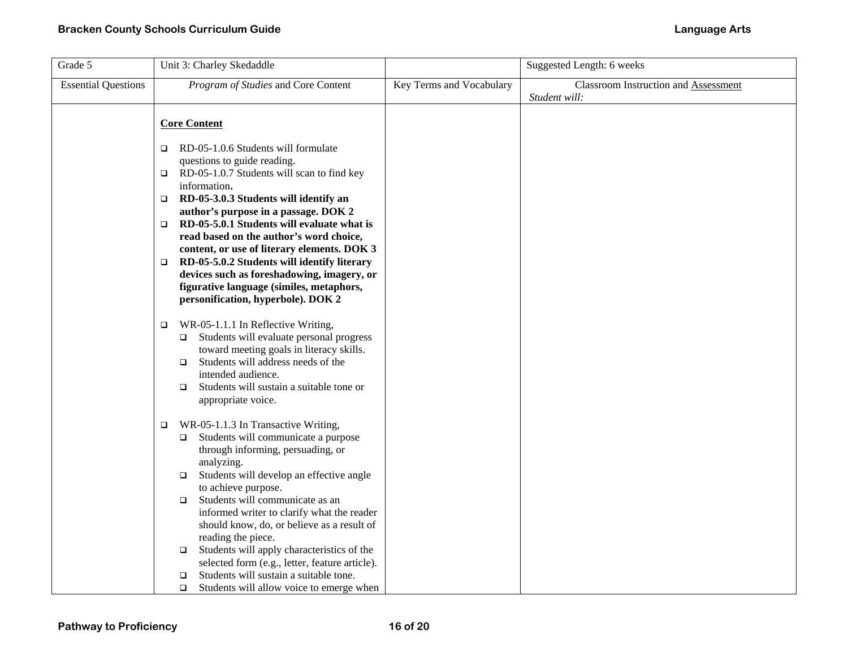| Grade 5                    | Unit 3: Charley Skedaddle                                                                                                                                                                                                                                                                                                                                                                                                                                                                                                                                                                                 |                          | Suggested Length: 6 weeks                                    |
|----------------------------|-----------------------------------------------------------------------------------------------------------------------------------------------------------------------------------------------------------------------------------------------------------------------------------------------------------------------------------------------------------------------------------------------------------------------------------------------------------------------------------------------------------------------------------------------------------------------------------------------------------|--------------------------|--------------------------------------------------------------|
| <b>Essential Questions</b> | Program of Studies and Core Content                                                                                                                                                                                                                                                                                                                                                                                                                                                                                                                                                                       | Key Terms and Vocabulary | <b>Classroom Instruction and Assessment</b><br>Student will: |
|                            | <b>Core Content</b><br>RD-05-1.0.6 Students will formulate<br>o.<br>questions to guide reading.<br>RD-05-1.0.7 Students will scan to find key<br>$\Box$<br>information.<br>RD-05-3.0.3 Students will identify an<br>$\Box$<br>author's purpose in a passage. DOK 2<br>RD-05-5.0.1 Students will evaluate what is<br>$\Box$<br>read based on the author's word choice,<br>content, or use of literary elements. DOK 3<br>RD-05-5.0.2 Students will identify literary<br>o.<br>devices such as foreshadowing, imagery, or<br>figurative language (similes, metaphors,<br>personification, hyperbole). DOK 2 |                          |                                                              |
|                            | WR-05-1.1.1 In Reflective Writing,<br>$\Box$<br>Students will evaluate personal progress<br>$\Box$<br>toward meeting goals in literacy skills.<br>Students will address needs of the<br>$\Box$<br>intended audience.<br>Students will sustain a suitable tone or<br>$\Box$<br>appropriate voice.                                                                                                                                                                                                                                                                                                          |                          |                                                              |
|                            | WR-05-1.1.3 In Transactive Writing,<br>$\Box$<br>Students will communicate a purpose<br>□<br>through informing, persuading, or<br>analyzing.<br>Students will develop an effective angle<br>$\Box$<br>to achieve purpose.<br>Students will communicate as an<br>$\Box$<br>informed writer to clarify what the reader<br>should know, do, or believe as a result of<br>reading the piece.<br>Students will apply characteristics of the<br>$\Box$<br>selected form (e.g., letter, feature article).<br>Students will sustain a suitable tone.<br>□<br>Students will allow voice to emerge when<br>$\Box$   |                          |                                                              |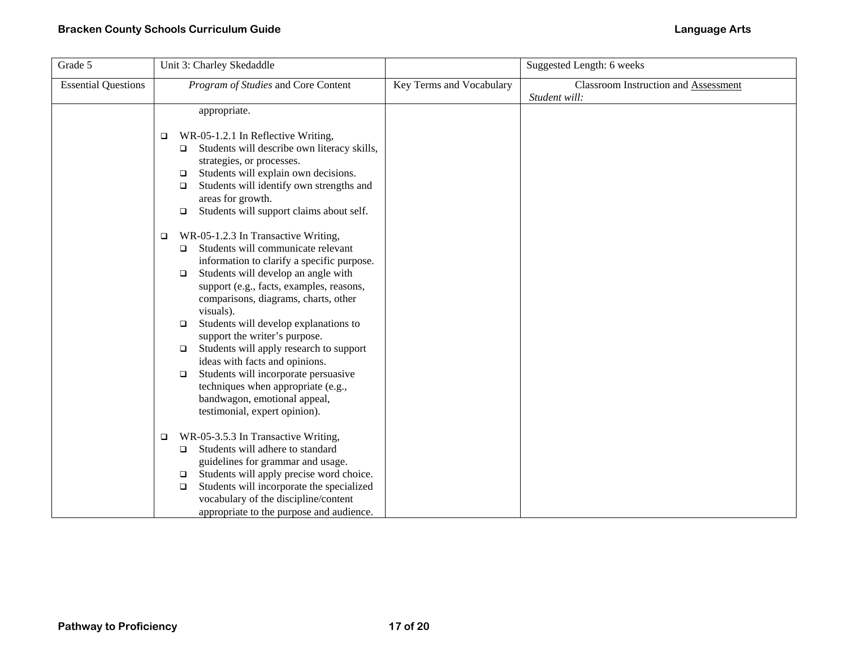| Grade 5                    | Unit 3: Charley Skedaddle                                                                                                                                                                                                                                                                                                                                                                                                                                                                                                                                                                                                    |                          | Suggested Length: 6 weeks                                    |
|----------------------------|------------------------------------------------------------------------------------------------------------------------------------------------------------------------------------------------------------------------------------------------------------------------------------------------------------------------------------------------------------------------------------------------------------------------------------------------------------------------------------------------------------------------------------------------------------------------------------------------------------------------------|--------------------------|--------------------------------------------------------------|
| <b>Essential Questions</b> | Program of Studies and Core Content                                                                                                                                                                                                                                                                                                                                                                                                                                                                                                                                                                                          | Key Terms and Vocabulary | <b>Classroom Instruction and Assessment</b><br>Student will: |
|                            | appropriate.<br>WR-05-1.2.1 In Reflective Writing,<br>□<br>Students will describe own literacy skills,<br>□<br>strategies, or processes.                                                                                                                                                                                                                                                                                                                                                                                                                                                                                     |                          |                                                              |
|                            | Students will explain own decisions.<br>□<br>Students will identify own strengths and<br>$\Box$<br>areas for growth.<br>Students will support claims about self.<br>$\Box$                                                                                                                                                                                                                                                                                                                                                                                                                                                   |                          |                                                              |
|                            | WR-05-1.2.3 In Transactive Writing,<br>$\Box$<br>Students will communicate relevant<br>$\Box$<br>information to clarify a specific purpose.<br>Students will develop an angle with<br>$\Box$<br>support (e.g., facts, examples, reasons,<br>comparisons, diagrams, charts, other<br>visuals).<br>Students will develop explanations to<br>$\Box$<br>support the writer's purpose.<br>Students will apply research to support<br>□<br>ideas with facts and opinions.<br>Students will incorporate persuasive<br>$\Box$<br>techniques when appropriate (e.g.,<br>bandwagon, emotional appeal,<br>testimonial, expert opinion). |                          |                                                              |
|                            | WR-05-3.5.3 In Transactive Writing,<br>□<br>Students will adhere to standard<br>$\Box$<br>guidelines for grammar and usage.<br>Students will apply precise word choice.<br>□<br>Students will incorporate the specialized<br>$\Box$<br>vocabulary of the discipline/content<br>appropriate to the purpose and audience.                                                                                                                                                                                                                                                                                                      |                          |                                                              |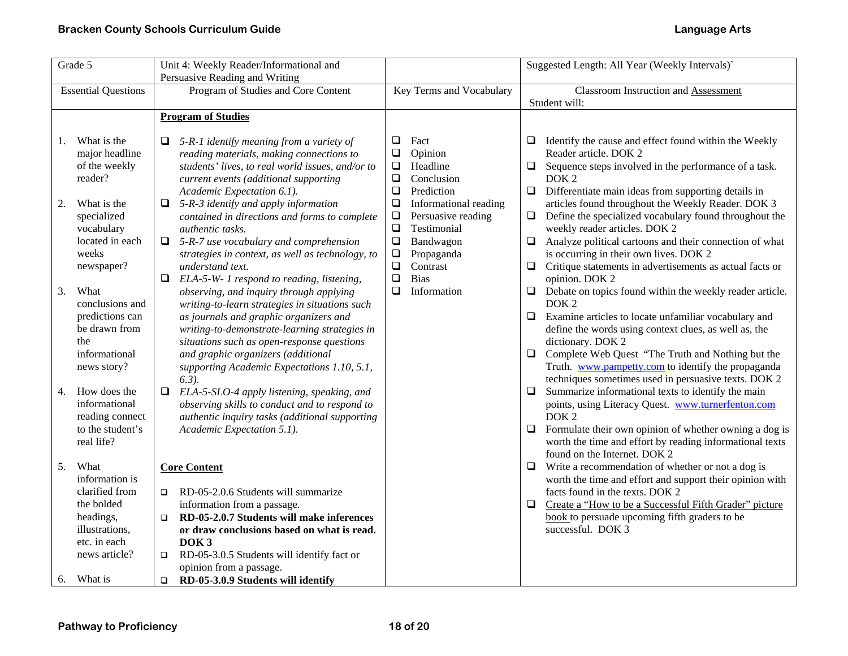| Grade 5                                                                                                                                                                                      | Unit 4: Weekly Reader/Informational and                                                                                                                                                                                                                                                                                                                                                                                                                                                                                                                                                                        |                                                                                                                                                                                                                                                                                                                    | Suggested Length: All Year (Weekly Intervals)`                                                                                                                                                                                                                                                                                                                                                                                                                                                                                                                                                                                                                                                 |  |
|----------------------------------------------------------------------------------------------------------------------------------------------------------------------------------------------|----------------------------------------------------------------------------------------------------------------------------------------------------------------------------------------------------------------------------------------------------------------------------------------------------------------------------------------------------------------------------------------------------------------------------------------------------------------------------------------------------------------------------------------------------------------------------------------------------------------|--------------------------------------------------------------------------------------------------------------------------------------------------------------------------------------------------------------------------------------------------------------------------------------------------------------------|------------------------------------------------------------------------------------------------------------------------------------------------------------------------------------------------------------------------------------------------------------------------------------------------------------------------------------------------------------------------------------------------------------------------------------------------------------------------------------------------------------------------------------------------------------------------------------------------------------------------------------------------------------------------------------------------|--|
|                                                                                                                                                                                              | Persuasive Reading and Writing                                                                                                                                                                                                                                                                                                                                                                                                                                                                                                                                                                                 |                                                                                                                                                                                                                                                                                                                    |                                                                                                                                                                                                                                                                                                                                                                                                                                                                                                                                                                                                                                                                                                |  |
| <b>Essential Questions</b>                                                                                                                                                                   | Program of Studies and Core Content                                                                                                                                                                                                                                                                                                                                                                                                                                                                                                                                                                            | Key Terms and Vocabulary                                                                                                                                                                                                                                                                                           | <b>Classroom Instruction and Assessment</b>                                                                                                                                                                                                                                                                                                                                                                                                                                                                                                                                                                                                                                                    |  |
|                                                                                                                                                                                              |                                                                                                                                                                                                                                                                                                                                                                                                                                                                                                                                                                                                                |                                                                                                                                                                                                                                                                                                                    | Student will:                                                                                                                                                                                                                                                                                                                                                                                                                                                                                                                                                                                                                                                                                  |  |
|                                                                                                                                                                                              | <b>Program of Studies</b>                                                                                                                                                                                                                                                                                                                                                                                                                                                                                                                                                                                      |                                                                                                                                                                                                                                                                                                                    |                                                                                                                                                                                                                                                                                                                                                                                                                                                                                                                                                                                                                                                                                                |  |
| What is the<br>1.<br>major headline<br>of the weekly<br>reader?<br>What is the<br>2.<br>specialized<br>vocabulary<br>located in each<br>weeks<br>newspaper?<br>3.<br>What<br>conclusions and | 5-R-1 identify meaning from a variety of<br>reading materials, making connections to<br>students' lives, to real world issues, and/or to<br>current events (additional supporting<br>Academic Expectation 6.1).<br>5-R-3 identify and apply information<br>$\Box$<br>contained in directions and forms to complete<br>authentic tasks.<br>$\Box$ 5-R-7 use vocabulary and comprehension<br>strategies in context, as well as technology, to<br>understand text.<br>ELA-5-W- 1 respond to reading, listening,<br>❏<br>observing, and inquiry through applying<br>writing-to-learn strategies in situations such | Fact<br>$\Box$<br>$\Box$<br>Opinion<br>Headline<br>$\Box$<br>$\Box$<br>Conclusion<br>Prediction<br>❏<br>$\Box$<br>Informational reading<br>Persuasive reading<br>$\Box$<br>$\Box$<br>Testimonial<br>$\Box$<br>Bandwagon<br>$\Box$<br>Propaganda<br>$\Box$<br>Contrast<br>$\Box$<br><b>Bias</b><br>❏<br>Information | Identify the cause and effect found within the Weekly<br>□<br>Reader article. DOK 2<br>$\Box$<br>Sequence steps involved in the performance of a task.<br>DOK <sub>2</sub><br>$\Box$<br>Differentiate main ideas from supporting details in<br>articles found throughout the Weekly Reader. DOK 3<br>Define the specialized vocabulary found throughout the<br>$\Box$<br>weekly reader articles. DOK 2<br>Analyze political cartoons and their connection of what<br>□<br>is occurring in their own lives. DOK 2<br>Critique statements in advertisements as actual facts or<br>Q.<br>opinion. DOK 2<br>Debate on topics found within the weekly reader article.<br>$\Box$<br>DOK <sub>2</sub> |  |
| predictions can<br>be drawn from<br>the<br>informational<br>news story?                                                                                                                      | as journals and graphic organizers and<br>writing-to-demonstrate-learning strategies in<br>situations such as open-response questions<br>and graphic organizers (additional<br>supporting Academic Expectations 1.10, 5.1,<br>$(6.3)$ .                                                                                                                                                                                                                                                                                                                                                                        |                                                                                                                                                                                                                                                                                                                    | Examine articles to locate unfamiliar vocabulary and<br>$\Box$<br>define the words using context clues, as well as, the<br>dictionary. DOK 2<br>Complete Web Quest "The Truth and Nothing but the<br>$\Box$<br>Truth. www.pampetty.com to identify the propaganda<br>techniques sometimes used in persuasive texts. DOK 2                                                                                                                                                                                                                                                                                                                                                                      |  |
| How does the<br>4.<br>informational<br>reading connect<br>to the student's<br>real life?                                                                                                     | $\Box$<br>ELA-5-SLO-4 apply listening, speaking, and<br>observing skills to conduct and to respond to<br>authentic inquiry tasks (additional supporting<br>Academic Expectation 5.1).                                                                                                                                                                                                                                                                                                                                                                                                                          |                                                                                                                                                                                                                                                                                                                    | Summarize informational texts to identify the main<br>Q.<br>points, using Literacy Quest. www.turnerfenton.com<br>DOK <sub>2</sub><br>Formulate their own opinion of whether owning a dog is<br>$\Box$<br>worth the time and effort by reading informational texts                                                                                                                                                                                                                                                                                                                                                                                                                             |  |
| What<br>5.<br>information is<br>clarified from<br>the bolded<br>headings,<br>illustrations,<br>etc. in each<br>news article?                                                                 | <b>Core Content</b><br>RD-05-2.0.6 Students will summarize<br>$\Box$<br>information from a passage.<br>RD-05-2.0.7 Students will make inferences<br>$\Box$<br>or draw conclusions based on what is read.<br>DOK <sub>3</sub><br>RD-05-3.0.5 Students will identify fact or<br>$\Box$                                                                                                                                                                                                                                                                                                                           |                                                                                                                                                                                                                                                                                                                    | found on the Internet. DOK 2<br>Write a recommendation of whether or not a dog is<br>$\Box$<br>worth the time and effort and support their opinion with<br>facts found in the texts. DOK 2<br>Create a "How to be a Successful Fifth Grader" picture<br>Q.<br>book to persuade upcoming fifth graders to be<br>successful. DOK 3                                                                                                                                                                                                                                                                                                                                                               |  |
| What is<br>6.                                                                                                                                                                                | opinion from a passage.<br>RD-05-3.0.9 Students will identify<br>$\Box$                                                                                                                                                                                                                                                                                                                                                                                                                                                                                                                                        |                                                                                                                                                                                                                                                                                                                    |                                                                                                                                                                                                                                                                                                                                                                                                                                                                                                                                                                                                                                                                                                |  |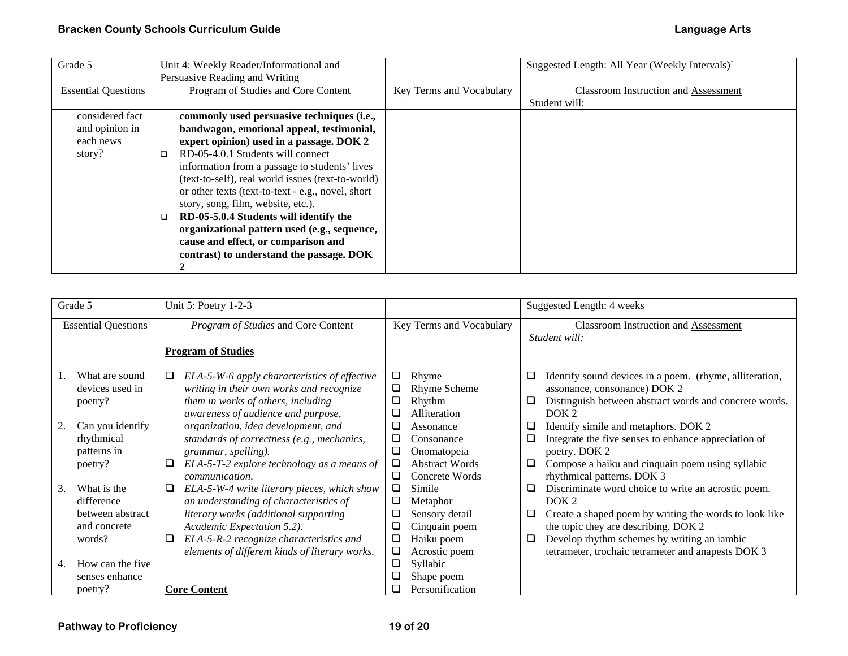| Grade 5                    | Unit 4: Weekly Reader/Informational and           |                          | Suggested Length: All Year (Weekly Intervals)' |
|----------------------------|---------------------------------------------------|--------------------------|------------------------------------------------|
|                            | Persuasive Reading and Writing                    |                          |                                                |
| <b>Essential Questions</b> | Program of Studies and Core Content               | Key Terms and Vocabulary | <b>Classroom Instruction and Assessment</b>    |
|                            |                                                   |                          | Student will:                                  |
| considered fact            | commonly used persuasive techniques (i.e.,        |                          |                                                |
| and opinion in             | bandwagon, emotional appeal, testimonial,         |                          |                                                |
| each news                  | expert opinion) used in a passage. DOK 2          |                          |                                                |
| story?                     | RD-05-4.0.1 Students will connect<br>□            |                          |                                                |
|                            | information from a passage to students' lives     |                          |                                                |
|                            | (text-to-self), real world issues (text-to-world) |                          |                                                |
|                            | or other texts (text-to-text - e.g., novel, short |                          |                                                |
|                            | story, song, film, website, etc.).                |                          |                                                |
|                            | RD-05-5.0.4 Students will identify the            |                          |                                                |
|                            | organizational pattern used (e.g., sequence,      |                          |                                                |
|                            | cause and effect, or comparison and               |                          |                                                |
|                            | contrast) to understand the passage. DOK          |                          |                                                |
|                            |                                                   |                          |                                                |

|                            | Grade 5                                                                                                                  | Unit 5: Poetry 1-2-3                                                                                                                                                                                                                                                                                                                      |                                           |                                                                                                                                                     | Suggested Length: 4 weeks                                    |                                                                                                                                                                                                                                                                                                                                            |
|----------------------------|--------------------------------------------------------------------------------------------------------------------------|-------------------------------------------------------------------------------------------------------------------------------------------------------------------------------------------------------------------------------------------------------------------------------------------------------------------------------------------|-------------------------------------------|-----------------------------------------------------------------------------------------------------------------------------------------------------|--------------------------------------------------------------|--------------------------------------------------------------------------------------------------------------------------------------------------------------------------------------------------------------------------------------------------------------------------------------------------------------------------------------------|
| <b>Essential Questions</b> |                                                                                                                          | Program of Studies and Core Content                                                                                                                                                                                                                                                                                                       | Key Terms and Vocabulary                  |                                                                                                                                                     | <b>Classroom Instruction and Assessment</b><br>Student will: |                                                                                                                                                                                                                                                                                                                                            |
|                            |                                                                                                                          | <b>Program of Studies</b>                                                                                                                                                                                                                                                                                                                 |                                           |                                                                                                                                                     |                                                              |                                                                                                                                                                                                                                                                                                                                            |
|                            | What are sound<br>devices used in<br>poetry?<br>Can you identify<br>rhythmical<br>patterns in<br>poetry?                 | ELA-5-W-6 apply characteristics of effective<br>⊔<br>writing in their own works and recognize<br>them in works of others, including<br>awareness of audience and purpose,<br>organization, idea development, and<br>standards of correctness (e.g., mechanics,<br>grammar, spelling).<br>ELA-5-T-2 explore technology as a means of<br>Q. | □<br>⊔<br>❏<br>❏<br>❏<br>⊔<br>$\Box$      | Rhyme<br><b>Rhyme Scheme</b><br>Rhythm<br>Alliteration<br>Assonance<br>Consonance<br>Onomatopeia<br><b>Abstract Words</b>                           | ⊔<br>⊔<br>❏<br>⊔                                             | Identify sound devices in a poem. (rhyme, alliteration,<br>assonance, consonance) DOK 2<br>Distinguish between abstract words and concrete words.<br>DOK <sub>2</sub><br>Identify simile and metaphors. DOK 2<br>Integrate the five senses to enhance appreciation of<br>poetry. DOK 2<br>Compose a haiku and cinquain poem using syllabic |
| 3.<br>4.                   | What is the<br>difference<br>between abstract<br>and concrete<br>words?<br>How can the five<br>senses enhance<br>poetry? | communication.<br>ELA-5-W-4 write literary pieces, which show<br>Q<br>an understanding of characteristics of<br>literary works (additional supporting<br>Academic Expectation 5.2).<br>ELA-5-R-2 recognize characteristics and<br>Q.<br>elements of different kinds of literary works.<br><b>Core Content</b>                             | ⊔<br>$\Box$<br>❏<br>❏<br>❏<br>❏<br>❏<br>❏ | Concrete Words<br>Simile<br>Metaphor<br>Sensory detail<br>Cinquain poem<br>Haiku poem<br>Acrostic poem<br>Syllabic<br>Shape poem<br>Personification | ⊔<br>❏<br>⊔                                                  | rhythmical patterns. DOK 3<br>Discriminate word choice to write an acrostic poem.<br>DOK <sub>2</sub><br>Create a shaped poem by writing the words to look like<br>the topic they are describing. DOK 2<br>Develop rhythm schemes by writing an iambic<br>tetrameter, trochaic tetrameter and anapests DOK 3                               |